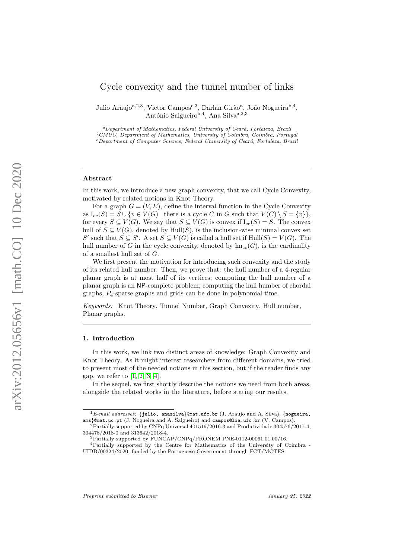# Cycle convexity and the tunnel number of links

Julio Araujo<sup>a, 2,3</sup>, Victor Campos<sup>c, 3</sup>, Darlan Girão<sup>a</sup>, João Nogueira<sup>b, 4</sup>, António Salgueiro<sup>b,4</sup>, Ana Silva<sup>a,2,3</sup>

<sup>a</sup>Department of Mathematics, Federal University of Ceará, Fortaleza, Brazil  $^{b}$ CMUC, Department of Mathematics, University of Coimbra, Coimbra, Portugal <sup>c</sup>Department of Computer Science, Federal University of Ceará, Fortaleza, Brazil

### Abstract

In this work, we introduce a new graph convexity, that we call Cycle Convexity, motivated by related notions in Knot Theory.

For a graph  $G = (V, E)$ , define the interval function in the Cycle Convexity as  $I_{cc}(S) = S \cup \{v \in V(G) \mid \text{there is a cycle } C \text{ in } G \text{ such that } V(C) \setminus S = \{v\} \},\$ for every  $S \subseteq V(G)$ . We say that  $S \subseteq V(G)$  is convex if  $I_{cc}(S) = S$ . The convex hull of  $S \subseteq V(G)$ , denoted by Hull(S), is the inclusion-wise minimal convex set S' such that  $S \subseteq S'$ . A set  $S \subseteq V(G)$  is called a hull set if  $Hull(S) = V(G)$ . The hull number of G in the cycle convexity, denoted by  $\text{hn}_{cc}(G)$ , is the cardinality of a smallest hull set of G.

We first present the motivation for introducing such convexity and the study of its related hull number. Then, we prove that: the hull number of a 4-regular planar graph is at most half of its vertices; computing the hull number of a planar graph is an NP-complete problem; computing the hull humber of chordal graphs, P4-sparse graphs and grids can be done in polynomial time.

Keywords: Knot Theory, Tunnel Number, Graph Convexity, Hull number, Planar graphs.

#### 1. Introduction

In this work, we link two distinct areas of knowledge: Graph Convexity and Knot Theory. As it might interest researchers from different domains, we tried to present most of the needed notions in this section, but if the reader finds any gap, we refer to [\[1,](#page-26-0) [2,](#page-26-1) [3,](#page-26-2) [4\]](#page-26-3).

In the sequel, we first shortly describe the notions we need from both areas, alongside the related works in the literature, before stating our results.

 $^{1}E\text{-}mail\;addresses:$  {julio, anasilva}@mat.ufc.br (J. Araujo and A. Silva), {nogueira, ams}@mat.uc.pt (J. Nogueira and A. Salgueiro) and campos@lia.ufc.br (V. Campos).

 $^{2}$ Partially supported by CNPq Universal 401519/2016-3 and Produtividade 304576/2017-4, 304478/2018-0 and 313642/2018-4.

<sup>3</sup>Partially supported by FUNCAP/CNPq/PRONEM PNE-0112-00061.01.00/16.

<sup>4</sup>Partially supported by the Centre for Mathematics of the University of Coimbra - UIDB/00324/2020, funded by the Portuguese Government through FCT/MCTES.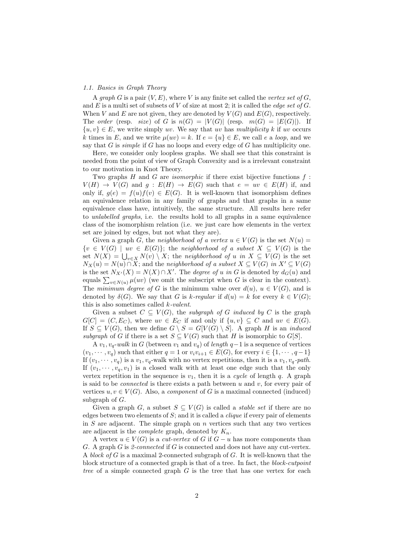#### 1.1. Basics in Graph Theory

A graph G is a pair  $(V, E)$ , where V is any finite set called the vertex set of G, and E is a multi set of subsets of V of size at most 2; it is called the *edge set of G*. When V and E are not given, they are denoted by  $V(G)$  and  $E(G)$ , respectively. The order (resp. size) of G is  $n(G) = |V(G)|$  (resp.  $m(G) = |E(G)|$ ). If  $\{u, v\} \in E$ , we write simply uv. We say that uv has multiplicity k if uv occurs k times in E, and we write  $\mu(uv) = k$ . If  $e = \{u\} \in E$ , we call e a loop, and we say that  $G$  is *simple* if  $G$  has no loops and every edge of  $G$  has multiplicity one.

Here, we consider only loopless graphs. We shall see that this constraint is needed from the point of view of Graph Convexity and is a irrelevant constraint to our motivation in Knot Theory.

Two graphs  $H$  and  $G$  are *isomorphic* if there exist bijective functions  $f$ :  $V(H) \rightarrow V(G)$  and  $g: E(H) \rightarrow E(G)$  such that  $e = uv \in E(H)$  if, and only if,  $g(e) = f(u)f(v) \in E(G)$ . It is well-known that isomorphism defines an equivalence relation in any family of graphs and that graphs in a same equivalence class have, intuitively, the same structure. All results here refer to unlabelled graphs, i.e. the results hold to all graphs in a same equivalence class of the isomorphism relation (i.e. we just care how elements in the vertex set are joined by edges, but not what they are).

Given a graph G, the neighborhood of a vertex  $u \in V(G)$  is the set  $N(u) =$  $\{v \in V(G) \mid uv \in E(G)\};$  the neighborhood of a subset  $X \subseteq V(G)$  is the set  $N(X) = \bigcup_{v \in X} N(v) \setminus X$ ; the neighborhood of u in  $X \subseteq V(G)$  is the set  $N_X(u) = N(u) \cap X$ ; and the neighborhood of a subset  $X \subseteq V(G)$  in  $X' \subseteq V(G)$ is the set  $N_{X'}(X) = N(X) \cap X'$ . The *degree of u in G* is denoted by  $d_G(u)$  and equals  $\sum_{v \in N(u)} \mu(uv)$  (we omit the subscript when G is clear in the context). The *minimum degree of G* is the minimum value over  $d(u)$ ,  $u \in V(G)$ , and is denoted by  $\delta(G)$ . We say that G is k-regular if  $d(u) = k$  for every  $k \in V(G)$ ; this is also sometimes called  $k$ -valent.

Given a subset  $C \subseteq V(G)$ , the subgraph of G induced by C is the graph  $G[C] = (C, E_C)$ , where  $uv \in E_C$  if and only if  $\{u, v\} \subseteq C$  and  $uv \in E(G)$ . If  $S \subseteq V(G)$ , then we define  $G \setminus S = G[V(G) \setminus S]$ . A graph H is an *induced* subgraph of G if there is a set  $S \subseteq V(G)$  such that H is isomorphic to  $G[S]$ .

A  $v_1, v_q$ -walk in G (between  $v_1$  and  $v_q$ ) of length  $q-1$  is a sequence of vertices  $(v_1, \dots, v_q)$  such that either  $q = 1$  or  $v_i v_{i+1} \in E(G)$ , for every  $i \in \{1, \dots, q-1\}$ If  $(v_1, \dots, v_q)$  is a  $v_1, v_q$ -walk with no vertex repetitions, then it is a  $v_1, v_q$ -path. If  $(v_1, \dots, v_q, v_1)$  is a closed walk with at least one edge such that the only vertex repetition in the sequence is  $v_1$ , then it is a cycle of length q. A graph is said to be *connected* is there exists a path between  $u$  and  $v$ , for every pair of vertices  $u, v \in V(G)$ . Also, a *component* of G is a maximal connected (induced) subgraph of  $G$ .

Given a graph G, a subset  $S \subseteq V(G)$  is called a *stable set* if there are no edges between two elements of  $S$ ; and it is called a *clique* if every pair of elements in  $S$  are adjacent. The simple graph on  $n$  vertices such that any two vertices are adjacent is the *complete* graph, denoted by  $K_n$ .

A vertex  $u \in V(G)$  is a *cut-vertex* of G if  $G - u$  has more components than G. A graph  $G$  is 2-connected if  $G$  is connected and does not have any cut-vertex. A block of G is a maximal 2-connected subgraph of G. It is well-known that the block structure of a connected graph is that of a tree. In fact, the block-cutpoint tree of a simple connected graph  $G$  is the tree that has one vertex for each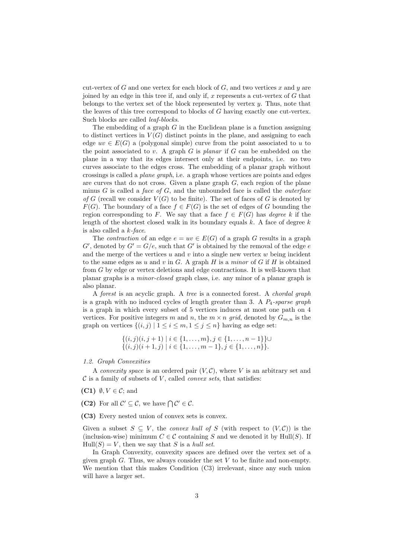cut-vertex of  $G$  and one vertex for each block of  $G$ , and two vertices  $x$  and  $y$  are joined by an edge in this tree if, and only if,  $x$  represents a cut-vertex of  $G$  that belongs to the vertex set of the block represented by vertex  $y$ . Thus, note that the leaves of this tree correspond to blocks of G having exactly one cut-vertex. Such blocks are called leaf-blocks.

The embedding of a graph  $G$  in the Euclidean plane is a function assigning to distinct vertices in  $V(G)$  distinct points in the plane, and assigning to each edge  $uv \in E(G)$  a (polygonal simple) curve from the point associated to u to the point associated to  $v$ . A graph  $G$  is planar if  $G$  can be embedded on the plane in a way that its edges intersect only at their endpoints, i.e. no two curves associate to the edges cross. The embedding of a planar graph without crossings is called a plane graph, i.e. a graph whose vertices are points and edges are curves that do not cross. Given a plane graph  $G$ , each region of the plane minus G is called a face of G, and the unbounded face is called the *outerface* of G (recall we consider  $V(G)$  to be finite). The set of faces of G is denoted by  $F(G)$ . The boundary of a face  $f \in F(G)$  is the set of edges of G bounding the region corresponding to F. We say that a face  $f \in F(G)$  has *degree* k if the length of the shortest closed walk in its boundary equals  $k$ . A face of degree  $k$ is also called a  $k$ -face.

The *contraction* of an edge  $e = uv \in E(G)$  of a graph G results in a graph  $G'$ , denoted by  $G' = G/e$ , such that  $G'$  is obtained by the removal of the edge  $e$ and the merge of the vertices u and v into a single new vertex  $w$  being incident to the same edges as u and v in G. A graph H is a minor of G if H is obtained from  $G$  by edge or vertex deletions and edge contractions. It is well-known that planar graphs is a minor-closed graph class, i.e. any minor of a planar graph is also planar.

A forest is an acyclic graph. A tree is a connected forest. A chordal graph is a graph with no induced cycles of length greater than 3. A  $P_4$ -sparse graph is a graph in which every subset of 5 vertices induces at most one path on 4 vertices. For positive integers m and n, the  $m \times n$  grid, denoted by  $G_{m,n}$  is the graph on vertices  $\{(i, j) | 1 \le i \le m, 1 \le j \le n\}$  having as edge set:

$$
\{(i,j)(i,j+1) \mid i \in \{1,\ldots,m\}, j \in \{1,\ldots,n-1\}\} \cup \{(i,j)(i+1,j) \mid i \in \{1,\ldots,m-1\}, j \in \{1,\ldots,n\}\}.
$$

#### 1.2. Graph Convexities

A convexity space is an ordered pair  $(V, \mathcal{C})$ , where V is an arbitrary set and  $\mathcal C$  is a family of subsets of V, called *convex sets*, that satisfies:

- (C1)  $\emptyset, V \in \mathcal{C}$ ; and
- (C2) For all  $\mathcal{C}' \subseteq \mathcal{C}$ , we have  $\bigcap \mathcal{C}' \in \mathcal{C}$ .
- (C3) Every nested union of convex sets is convex.

Given a subset  $S \subseteq V$ , the *convex hull of* S (with respect to  $(V, \mathcal{C})$ ) is the (inclusion-wise) minimum  $C \in \mathcal{C}$  containing S and we denoted it by Hull(S). If  $Hull(S) = V$ , then we say that S is a *hull set*.

In Graph Convexity, convexity spaces are defined over the vertex set of a given graph  $G$ . Thus, we always consider the set  $V$  to be finite and non-empty. We mention that this makes Condition (C3) irrelevant, since any such union will have a larger set.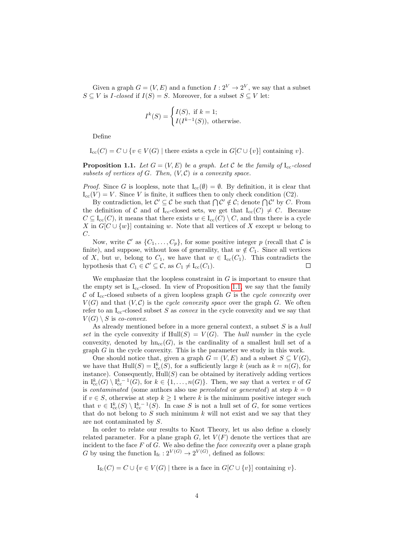Given a graph  $G = (V, E)$  and a function  $I: 2^V \to 2^V$ , we say that a subset  $S \subseteq V$  is *I-closed* if  $I(S) = S$ . Moreover, for a subset  $S \subseteq V$  let:

$$
I^k(S) = \begin{cases} I(S), & \text{if } k = 1; \\ I(I^{k-1}(S)), & \text{otherwise.} \end{cases}
$$

Define

 $I_{cc}(C) = C \cup \{v \in V(G) \mid \text{there exists a cycle in } G[C \cup \{v\}] \text{ containing } v\}.$ 

<span id="page-3-0"></span>**Proposition 1.1.** Let  $G = (V, E)$  be a graph. Let C be the family of  $I_{cc}$ -closed subsets of vertices of  $G$ . Then,  $(V, \mathcal{C})$  is a convexity space.

*Proof.* Since G is loopless, note that  $I_{cc}(\emptyset) = \emptyset$ . By definition, it is clear that  $I_{cc}(V) = V$ . Since V is finite, it suffices then to only check condition (C2).

By contradiction, let  $\mathcal{C}' \subseteq \mathcal{C}$  be such that  $\bigcap \mathcal{C}' \notin \mathcal{C}$ ; denote  $\bigcap \mathcal{C}'$  by C. From the definition of C and of I<sub>cc</sub>-closed sets, we get that  $I_{cc}(C) \neq C$ . Because  $C \subseteq I_{cc}(C)$ , it means that there exists  $w \in I_{cc}(C) \setminus C$ , and thus there is a cycle X in  $G[C \cup \{w\}]$  containing w. Note that all vertices of X except w belong to C.

Now, write C' as  $\{C_1, \ldots, C_p\}$ , for some positive integer p (recall that C is finite), and suppose, without loss of generality, that  $w \notin C_1$ . Since all vertices of X, but w, belong to  $C_1$ , we have that  $w \in I_{cc}(C_1)$ . This contradicts the hypothesis that  $C_1 \in \mathcal{C}' \subseteq \mathcal{C}$ , as  $C_1 \neq I_{cc}(C_1)$ .  $\Box$ 

We emphasize that the loopless constraint in  $G$  is important to ensure that the empty set is  $I_{cc}$ -closed. In view of Proposition [1.1,](#page-3-0) we say that the family C of I<sub>cc</sub>-closed subsets of a given loopless graph G is the cycle convexity over  $V(G)$  and that  $(V, \mathcal{C})$  is the cycle convexity space over the graph G. We often refer to an  $I_{cc}$ -closed subset S as *convex* in the cycle convexity and we say that  $V(G) \setminus S$  is co-convex.

As already mentioned before in a more general context, a subset  $S$  is a hull set in the cycle convexity if  $Hull(S) = V(G)$ . The *hull number* in the cycle convexity, denoted by  $\text{hn}_{cc}(G)$ , is the cardinality of a smallest hull set of a graph G in the cycle convexity. This is the parameter we study in this work.

One should notice that, given a graph  $G = (V, E)$  and a subset  $S \subseteq V(G)$ , we have that  $Hull(S) = I_{cc}^k(S)$ , for a sufficiently large k (such as  $k = n(G)$ , for instance). Consequently,  $Hull(S)$  can be obtained by iteratively adding vertices in  $I_{cc}^k(G) \setminus I_{cc}^{k-1}(G)$ , for  $k \in \{1, ..., n(G)\}$ . Then, we say that a vertex v of G is contaminated (some authors also use *percolated* or *generated*) at step  $k = 0$ if  $v \in S$ , otherwise at step  $k \geq 1$  where k is the minimum positive integer such that  $v \in I_{cc}^{k}(S) \setminus I_{cc}^{k-1}(S)$ . In case S is not a hull set of G, for some vertices that do not belong to  $S$  such minimum k will not exist and we say that they are not contaminated by S.

In order to relate our results to Knot Theory, let us also define a closely related parameter. For a plane graph  $G$ , let  $V(F)$  denote the vertices that are incident to the face  $F$  of  $G$ . We also define the *face convexity* over a plane graph G by using the function  $I_{\text{fc}}: 2^{V(G)} \to 2^{V(G)}$ , defined as follows:

 $I_{\text{fc}}(C) = C \cup \{v \in V(G) \mid \text{there is a face in } G[C \cup \{v\}] \text{ containing } v\}.$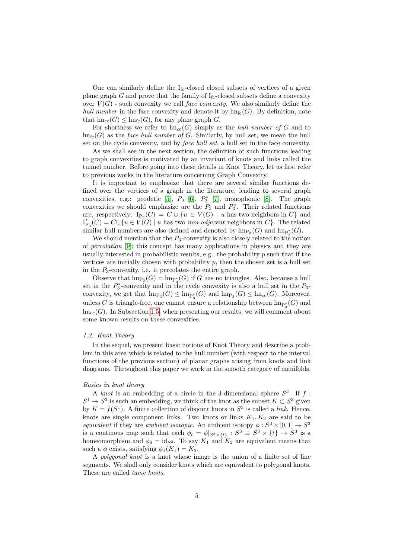One can similarly define the  $I_{fc}$ -closed closed subsets of vertices of a given plane graph  $G$  and prove that the family of  $I_{\text{fc}}$ -closed subsets define a convexity over  $V(G)$  - such convexity we call *face convexity*. We also similarly define the hull number in the face convexity and denote it by  $hn<sub>fc</sub>(G)$ . By definition, note that  $hn_{cc}(G) \leq hn_{fc}(G)$ , for any plane graph G.

For shortness we refer to  $\text{hn}_{cc}(G)$  simply as the *hull number of G* and to  $hn_{fc}(G)$  as the *face hull number of G.* Similarly, by hull set, we mean the hull set on the cycle convexity, and by face hull set, a hull set in the face convexity.

As we shall see in the next section, the definition of such functions leading to graph convexities is motivated by an invariant of knots and links called the tunnel number. Before going into these details in Knot Theory, let us first refer to previous works in the literature concerning Graph Convexity.

It is important to emphasize that there are several similar functions defined over the vertices of a graph in the literature, leading to several graph convexities, e.g.: geodetic [\[5\]](#page-26-4),  $P_3$  [\[6\]](#page-26-5),  $P_3$  [\[7\]](#page-27-0), monophonic [\[8\]](#page-27-1). The graph convexities we should emphasize are the  $P_3$  and  $P_3^*$ . Their related functions are, respectively:  $I_{P_3}(C) = C \cup \{u \in V(G) \mid u \text{ has two neighbors in } C\}$  and  $I_{P_3}^*(C) = C \cup \{u \in V(G) \mid u \text{ has two non-adjacent neighbors in } C\}.$  The related similar hull numbers are also defined and denoted by  $\mathrm{hn}_{P_3}(G)$  and  $\mathrm{hn}_{P_3^*}(G)$ .

We should mention that the  $P_3$ -convexity is also closely related to the notion of percolation [\[9\]](#page-27-2); this concept has many applications in physics and they are usually interested in probabilistic results, e.g., the probability  $p$  such that if the vertices are initially chosen with probability  $p$ , then the chosen set is a hull set in the  $P_3$ -convexity, i.e. it percolates the entire graph.

Observe that  $\text{hn}_{\text{P}_3}(G) = \text{hn}_{\text{P}_3^*}(G)$  if G has no triangles. Also, because a hull set in the  $P_3^*$ -convexity and in the cycle convexity is also a hull set in the  $P_3$ convexity, we get that  $\text{hn}_{P_3}(G) \le \text{hn}_{P_3^*}(G)$  and  $\text{hn}_{P_3}(G) \le \text{hn}_{cc}(G)$ . Moreover, unless G is triangle-free, one cannot ensure a relationship between  $\text{hn}_{\text{P}_3^*}(G)$  and  $h n_{\text{cc}}(G)$ . In Subsection [1.5,](#page-8-0) when presenting our results, we will comment about some known results on these convexities.

#### 1.3. Knot Theory

In the sequel, we present basic notions of Knot Theory and describe a problem in this area which is related to the hull number (with respect to the interval functions of the previous section) of planar graphs arising from knots and link diagrams. Throughout this paper we work in the smooth category of manifolds.

#### Basics in knot theory

A knot is an embedding of a circle in the 3-dimensional sphere  $S^3$ . If f:  $S^1 \to S^3$  is such an embedding, we think of the knot as the subset  $K \subset S^3$  given by  $K = f(S^1)$ . A finite collection of disjoint knots in  $S^3$  is called a *link*. Hence, knots are single component links. Two knots or links  $K_1, K_2$  are said to be equivalent if they are ambient isotopic. An ambient isotopy  $\phi: S^3 \times [0,1] \to S^3$ is a continous map such that each  $\phi_t = \phi|_{S^3 \times \{t\}} : S^3 \equiv S^3 \times \{t\} \to S^3$  is a homeomorphism and  $\phi_0 = \text{id}_{S^3}$ . To say  $K_1$  and  $K_2$  are equivalent means that such a  $\phi$  exists, satisfying  $\phi_1(K_1) = K_2$ .

A polygonal knot is a knot whose image is the union of a finite set of line segments. We shall only consider knots which are equivalent to polygonal knots. These are called tame knots.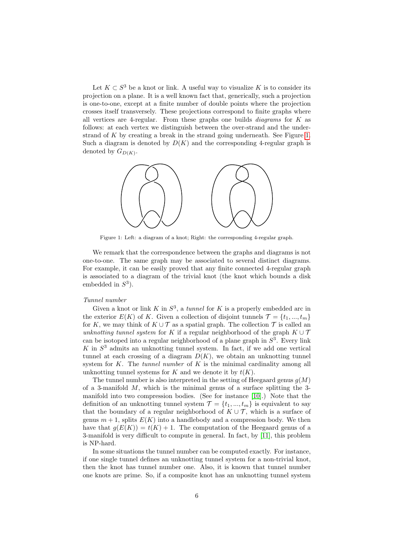Let  $K \subset S^3$  be a knot or link. A useful way to visualize K is to consider its projection on a plane. It is a well known fact that, generically, such a projection is one-to-one, except at a finite number of double points where the projection crosses itself transversely. These projections correspond to finite graphs where all vertices are 4-regular. From these graphs one builds *diagrams* for  $K$  as follows: at each vertex we distinguish between the over-strand and the under-strand of K by creating a break in the strand going underneath. See Figure [1.](#page-5-0) Such a diagram is denoted by  $D(K)$  and the corresponding 4-regular graph is denoted by  $G_{D(K)}$ .

<span id="page-5-0"></span>

Figure 1: Left: a diagram of a knot; Right: the corresponding 4-regular graph.

We remark that the correspondence between the graphs and diagrams is not one-to-one. The same graph may be associated to several distinct diagrams. For example, it can be easily proved that any finite connected 4-regular graph is associated to a diagram of the trivial knot (the knot which bounds a disk embedded in  $S^3$ ).

# Tunnel number

Given a knot or link K in  $S^3$ , a tunnel for K is a properly embedded arc in the exterior  $E(K)$  of K. Given a collection of disjoint tunnels  $\mathcal{T} = \{t_1, ..., t_m\}$ for K, we may think of  $K \cup \mathcal{T}$  as a spatial graph. The collection  $\mathcal{T}$  is called an unknotting tunnel system for K if a regular neighborhood of the graph  $K \cup T$ can be isotoped into a regular neighborhood of a plane graph in  $S<sup>3</sup>$ . Every link  $K$  in  $S<sup>3</sup>$  admits an unknotting tunnel system. In fact, if we add one vertical tunnel at each crossing of a diagram  $D(K)$ , we obtain an unknotting tunnel system for  $K$ . The *tunnel number* of  $K$  is the minimal cardinality among all unknotting tunnel systems for K and we denote it by  $t(K)$ .

The tunnel number is also interpreted in the setting of Heegaard genus  $g(M)$ of a 3-manifold  $M$ , which is the minimal genus of a surface splitting the 3manifold into two compression bodies. (See for instance [\[10\]](#page-27-3).) Note that the definition of an unknotting tunnel system  $\mathcal{T} = \{t_1, ..., t_m\}$  is equivalent to say that the boundary of a regular neighborhood of  $K \cup \mathcal{T}$ , which is a surface of genus  $m + 1$ , splits  $E(K)$  into a handlebody and a compression body. We then have that  $g(E(K)) = t(K) + 1$ . The computation of the Heegaard genus of a 3-manifold is very difficult to compute in general. In fact, by [\[11\]](#page-27-4), this problem is NP-hard.

In some situations the tunnel number can be computed exactly. For instance, if one single tunnel defines an unknotting tunnel system for a non-trivial knot, then the knot has tunnel number one. Also, it is known that tunnel number one knots are prime. So, if a composite knot has an unknotting tunnel system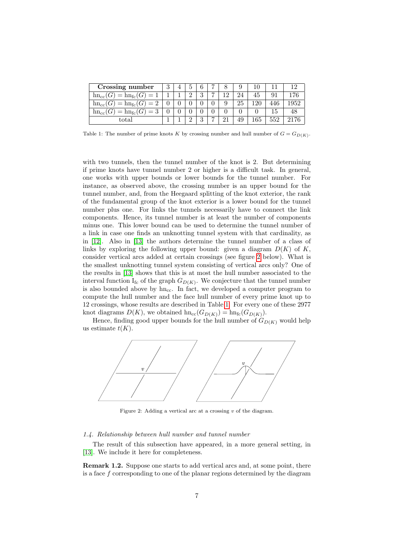<span id="page-6-1"></span>

| Crossing number                                                |  |          |               |   |     |    |     |     |      |
|----------------------------------------------------------------|--|----------|---------------|---|-----|----|-----|-----|------|
| $\text{hn}_{\text{cc}}(G) = \text{hn}_{\text{fc}}(G)$<br>$=$   |  | $\Omega$ | $\Omega$<br>υ | - | 1 ດ | 24 | 45  |     |      |
| $\text{hn}_{\text{cc}}(G) = \text{hn}_{\text{fc}}(G)$<br>$= 2$ |  |          |               |   |     | 25 | .20 |     | 1952 |
| $=\text{hn}_{\text{fc}}(G)$<br>$\text{hn}_{\text{cc}}(G)$<br>ച |  |          |               |   |     |    |     |     |      |
| total                                                          |  | $\Omega$ | ົ             | , |     | 49 | .65 | 552 |      |

Table 1: The number of prime knots K by crossing number and hull number of  $G = G_{D(K)}$ .

with two tunnels, then the tunnel number of the knot is 2. But determining if prime knots have tunnel number 2 or higher is a difficult task. In general, one works with upper bounds or lower bounds for the tunnel number. For instance, as observed above, the crossing number is an upper bound for the tunnel number, and, from the Heegaard splitting of the knot exterior, the rank of the fundamental group of the knot exterior is a lower bound for the tunnel number plus one. For links the tunnels necessarily have to connect the link components. Hence, its tunnel number is at least the number of components minus one. This lower bound can be used to determine the tunnel number of a link in case one finds an unknotting tunnel system with that cardinality, as in [\[12\]](#page-27-5). Also in [\[13\]](#page-27-6) the authors determine the tunnel number of a class of links by exploring the following upper bound: given a diagram  $D(K)$  of K, consider vertical arcs added at certain crossings (see figure [2](#page-6-0) below). What is the smallest unknotting tunnel system consisting of vertical arcs only? One of the results in [\[13\]](#page-27-6) shows that this is at most the hull number associated to the interval function  $I_{\text{fc}}$  of the graph  $G_{D(K)}$ . We conjecture that the tunnel number is also bounded above by  $hn_{cc}$ . In fact, we developed a computer program to compute the hull number and the face hull number of every prime knot up to 12 crossings, whose results are described in Table [1.](#page-6-1) For every one of these 2977 knot diagrams  $D(K)$ , we obtained  $\text{hn}_{cc}(G_{D(K)}) = \text{hn}_{fc}(G_{D(K)})$ .

Hence, finding good upper bounds for the hull number of  $G_{D(K)}$  would help us estimate  $t(K)$ .

<span id="page-6-0"></span>

Figure 2: Adding a vertical arc at a crossing  $v$  of the diagram.

#### 1.4. Relationship between hull number and tunnel number

The result of this subsection have appeared, in a more general setting, in [\[13\]](#page-27-6). We include it here for completeness.

<span id="page-6-2"></span>Remark 1.2. Suppose one starts to add vertical arcs and, at some point, there is a face f corresponding to one of the planar regions determined by the diagram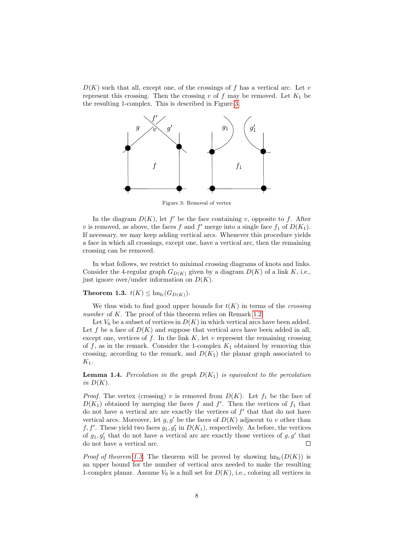<span id="page-7-0"></span> $D(K)$  such that all, except one, of the crossings of f has a vertical arc. Let v represent this crossing. Then the crossing v of f may be removed. Let  $K_1$  be the resulting 1-complex. This is described in Figure [3.](#page-7-0)



Figure 3: Removal of vertex

In the diagram  $D(K)$ , let f' be the face containing v, opposite to f. After v is removed, as above, the faces f and f' merge into a single face  $f_1$  of  $D(K_1)$ . If necessary, we may keep adding vertical arcs. Whenever this procedure yields a face in which all crossings, except one, have a vertical arc, then the remaining crossing can be removed.

In what follows, we restrict to minimal crossing diagrams of knots and links. Consider the 4-regular graph  $G_{D(K)}$  given by a diagram  $D(K)$  of a link K, i.e., just ignore over/under information on  $D(K)$ .

# <span id="page-7-1"></span>Theorem 1.3.  $t(K) \leq \text{hn}_{\text{fc}}(G_{D(K)})$ .

We thus wish to find good upper bounds for  $t(K)$  in terms of the *crossing* number of K. The proof of this theorem relies on Remark [1.2.](#page-6-2)

Let  $V_0$  be a subset of vertices in  $D(K)$  in which vertical arcs have been added. Let f be a face of  $D(K)$  and suppose that vertical arcs have been added in all, except one, vertices of  $f$ . In the link  $K$ , let  $v$  represent the remaining crossing of f, as in the remark. Consider the 1-complex  $K_1$  obtained by removing this crossing, according to the remark, and  $D(K_1)$  the planar graph associated to  $K_1$ .

<span id="page-7-2"></span>**Lemma 1.4.** Percolation in the graph  $D(K_1)$  is equivalent to the percolation in  $D(K)$ .

*Proof.* The vertex (crossing) v is removed from  $D(K)$ . Let  $f_1$  be the face of  $D(K_1)$  obtained by merging the faces f and f'. Then the vertices of  $f_1$  that do not have a vertical arc are exactly the vertices of  $f'$  that that do not have vertical arcs. Moreover, let  $g, g'$  be the faces of  $D(K)$  adjacent to v other than  $f, f'$ . These yield two faces  $g_1, g'_1$  in  $D(K_1)$ , respectively. As before, the vertices of  $g_1, g'_1$  that do not have a vertical arc are exactly those vertices of  $g, g'$  that  $\Box$ do not have a vertical arc.

*Proof of theorem [1.3.](#page-7-1)* The theorem will be proved by showing  $hn_{fc}(D(K))$  is an upper bound for the number of vertical arcs needed to make the resulting 1-complex planar. Assume  $V_0$  is a hull set for  $D(K)$ , i.e., coloring all vertices in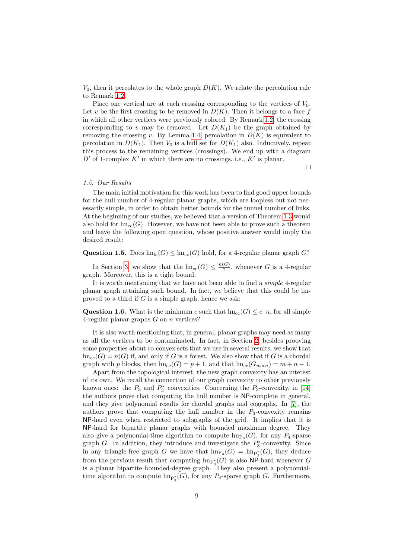$V_0$ , then it percolates to the whole graph  $D(K)$ . We relate the percolation rule to Remark [1.2.](#page-6-2)

Place one vertical arc at each crossing corresponding to the vertices of  $V_0$ . Let v be the first crossing to be removed in  $D(K)$ . Then it belongs to a face f in which all other vertices were previously colored. By Remark [1.2,](#page-6-2) the crossing corresponding to v may be removed. Let  $D(K_1)$  be the graph obtained by removing the crossing v. By Lemma [1.4,](#page-7-2) percolation in  $D(K)$  is equivalent to percolation in  $D(K_1)$ . Then  $V_0$  is a hull set for  $D(K_1)$  also. Inductively, repeat this process to the remaining vertices (crossings). We end up with a diagram  $D'$  of 1-complex  $K'$  in which there are no crossings, i.e.,  $K'$  is planar.

 $\Box$ 

### <span id="page-8-0"></span>1.5. Our Results

The main initial motivation for this work has been to find good upper bounds for the hull number of 4-regular planar graphs, which are loopless but not necessarily simple, in order to obtain better bounds for the tunnel number of links. At the beginning of our studies, we believed that a version of Theorem [1.3](#page-7-1) would also hold for  $\text{hn}_{cc}(G)$ . However, we have not been able to prove such a theorem and leave the following open question, whose positive answer would imply the desired result:

Question 1.5. Does  $hn_{fc}(G) \leq hn_{cc}(G)$  hold, for a 4-regular planar graph G?

In Section [3,](#page-14-0) we show that the  $\text{hn}_{cc}(G) \leq \frac{n(G)}{2}$  $\frac{G}{2}$ , whenever G is a 4-regular graph. Moreover, this is a tight bound.

It is worth mentioning that we have not been able to find a simple 4-regular planar graph attaining such bound. In fact, we believe that this could be improved to a third if  $G$  is a simple graph; hence we ask:

Question 1.6. What is the minimum c such that  $hn_{cc}(G) \leq c \cdot n$ , for all simple 4-regular planar graphs  $G$  on  $n$  vertices?

It is also worth mentioning that, in general, planar graphs may need as many as all the vertices to be contaminated. In fact, in Section [2,](#page-9-0) besides prooving some properties about co-convex sets that we use in several results, we show that  $hn_{cc}(G) = n(G)$  if, and only if G is a forest. We also show that if G is a chordal graph with p blocks, then  $\text{hn}_{\text{cc}}(G) = p + 1$ , and that  $\text{hn}_{\text{cc}}(G_{m \times n}) = m + n - 1$ .

Apart from the topological interest, the new graph convexity has an interest of its own. We recall the connection of our graph convexity to other previously known ones: the  $P_3$  and  $P_3^*$  convexities. Concerning the  $P_3$ -convexity, in [\[14\]](#page-27-7) the authors prove that computing the hull number is NP-complete in general, and they give polynomial results for chordal graphs and cographs. In [\[7\]](#page-27-0), the authors prove that computing the hull number in the  $P_3$ -convexity remains NP-hard even when restricted to subgraphs of the grid. It implies that it is NP-hard for bipartite planar graphs with bounded maximum degree. They also give a polynomial-time algorithm to compute  $\text{hn}_{\text{P}_3}(G)$ , for any  $P_4$ -sparse graph  $G$ . In addition, they introduce and investigate the  $P_3^*$ -convexity. Since in any triangle-free graph G we have that  $\text{hn}_{P_3}(G) = \text{hn}_{P_3^*}(G)$ , they deduce from the previous result that computing  $\text{hn}_{P_3^*}(G)$  is also NP-hard whenever G 3 is a planar bipartite bounded-degree graph. They also present a polynomialtime algorithm to compute  $\text{hn}_{\text{P}_3^*}(G)$ , for any  $P_4$ -sparse graph G. Furthermore,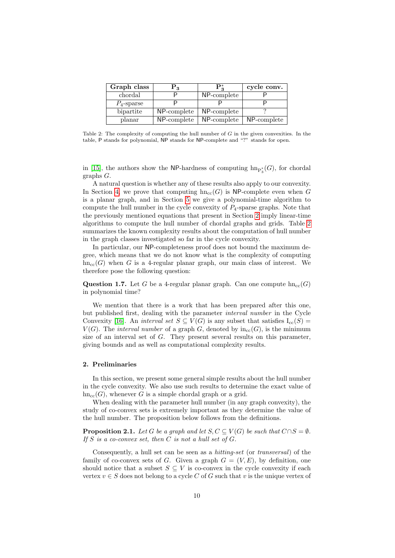<span id="page-9-1"></span>

| Graph class   | P3          | $\mathbf{P}_3^*$ | cycle conv. |
|---------------|-------------|------------------|-------------|
| chordal       |             | NP-complete      |             |
| $P_4$ -sparse |             |                  |             |
| bipartite     | NP-complete | NP-complete      |             |
| planar        | NP-complete | NP-complete      | NP-complete |

Table 2: The complexity of computing the hull number of G in the given convexities. In the table, P stands for polynomial, NP stands for NP-complete and "?" stands for open.

in [\[15\]](#page-27-8), the authors show the NP-hardness of computing  $\text{hn}_{\text{P}_3^*}(G)$ , for chordal graphs G.

A natural question is whether any of these results also apply to our convexity. In Section [4,](#page-19-0) we prove that computing  $hn_{cc}(G)$  is NP-complete even when G is a planar graph, and in Section [5](#page-24-0) we give a polynomial-time algorithm to compute the hull number in the cycle convexity of  $P_4$ -sparse graphs. Note that the previously mentioned equations that present in Section [2](#page-9-0) imply linear-time algorithms to compute the hull number of chordal graphs and grids. Table [2](#page-9-1) summarizes the known complexity results about the computation of hull number in the graph classes investigated so far in the cycle convexity.

In particular, our NP-completeness proof does not bound the maximum degree, which means that we do not know what is the complexity of computing  $h n_{cc}(G)$  when G is a 4-regular planar graph, our main class of interest. We therefore pose the following question:

**Question 1.7.** Let G be a 4-regular planar graph. Can one compute  $\text{hn}_{cc}(G)$ in polynomial time?

We mention that there is a work that has been prepared after this one, but published first, dealing with the parameter interval number in the Cycle Convexity [\[16\]](#page-27-9). An *interval set*  $S \subseteq V(G)$  is any subset that satisfies  $I_{cc}(S)$  =  $V(G)$ . The *interval number* of a graph G, denoted by  $in_{cc}(G)$ , is the minimum size of an interval set of G. They present several results on this parameter, giving bounds and as well as computational complexity results.

#### <span id="page-9-0"></span>2. Preliminaries

In this section, we present some general simple results about the hull number in the cycle convexity. We also use such results to determine the exact value of  $hn_{cc}(G)$ , whenever G is a simple chordal graph or a grid.

When dealing with the parameter hull number (in any graph convexity), the study of co-convex sets is extremely important as they determine the value of the hull number. The proposition below follows from the definitions.

<span id="page-9-2"></span>**Proposition 2.1.** Let G be a graph and let  $S, C \subseteq V(G)$  be such that  $C \cap S = \emptyset$ . If  $S$  is a co-convex set, then  $C$  is not a hull set of  $G$ .

Consequently, a hull set can be seen as a hitting-set (or transversal) of the family of co-convex sets of G. Given a graph  $G = (V, E)$ , by definition, one should notice that a subset  $S \subseteq V$  is co-convex in the cycle convexity if each vertex  $v \in S$  does not belong to a cycle C of G such that v is the unique vertex of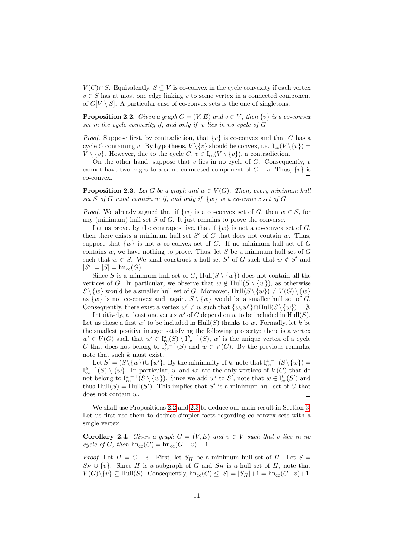$V(C) \cap S$ . Equivalently,  $S \subseteq V$  is co-convex in the cycle convexity if each vertex  $v \in S$  has at most one edge linking v to some vertex in a connected component of  $G[V \setminus S]$ . A particular case of co-convex sets is the one of singletons.

<span id="page-10-0"></span>**Proposition 2.2.** Given a graph  $G = (V, E)$  and  $v \in V$ , then  $\{v\}$  is a co-convex set in the cycle convexity if, and only if, v lies in no cycle of G.

*Proof.* Suppose first, by contradiction, that  $\{v\}$  is co-convex and that G has a cycle C containing v. By hypothesis,  $V \setminus \{v\}$  should be convex, i.e.  $I_{cc}(V \setminus \{v\}) =$  $V \setminus \{v\}$ . However, due to the cycle  $C, v \in I_{cc}(V \setminus \{v\})$ , a contradiction.

On the other hand, suppose that  $v$  lies in no cycle of  $G$ . Consequently,  $v$ cannot have two edges to a same connected component of  $G - v$ . Thus,  $\{v\}$  is co-convex.  $\Box$ 

<span id="page-10-1"></span>**Proposition 2.3.** Let G be a graph and  $w \in V(G)$ . Then, every minimum hull set S of G must contain w if, and only if,  $\{w\}$  is a co-convex set of G.

*Proof.* We already argued that if  $\{w\}$  is a co-convex set of G, then  $w \in S$ , for any (minimum) hull set  $S$  of  $G$ . It just remains to prove the converse.

Let us prove, by the contrapositive, that if  $\{w\}$  is not a co-convex set of G, then there exists a minimum hull set  $S'$  of G that does not contain w. Thus, suppose that  $\{w\}$  is not a co-convex set of G. If no minimum hull set of G contains  $w$ , we have nothing to prove. Thus, let  $S$  be a minimum hull set of  $G$ such that  $w \in S$ . We shall construct a hull set S' of G such that  $w \notin S'$  and  $|S'| = |S| = \text{hn}_{cc}(G).$ 

Since S is a minimum hull set of G, Hull( $S \setminus \{w\}$ ) does not contain all the vertices of G. In particular, we observe that  $w \notin Hull(S \setminus \{w\})$ , as otherwise  $S \setminus \{w\}$  would be a smaller hull set of G. Moreover,  $Hull(S \setminus \{w\}) \neq V(G) \setminus \{w\}$ as  $\{w\}$  is not co-convex and, again,  $S \setminus \{w\}$  would be a smaller hull set of G. Consequently, there exist a vertex  $w' \neq w$  such that  $\{w, w'\} \cap Hull(S \setminus \{w\}) = \emptyset$ .

Intuitively, at least one vertex  $w'$  of G depend on w to be included in  $Hull(S)$ . Let us chose a first  $w'$  to be included in  $Hull(S)$  thanks to w. Formally, let k be the smallest positive integer satisfying the following property: there is a vertex  $w' \in V(G)$  such that  $w' \in I_{\text{cc}}^k(S) \setminus I_{\text{cc}}^{k-1}(S), w'$  is the unique vertex of a cycle C that does not belong to  $I_{cc}^{k-1}(S)$  and  $w \in V(C)$ . By the previous remarks, note that such  $k$  must exist.

Let  $S' = (S \setminus \{w\}) \cup \{w'\}$ . By the minimality of k, note that  $I_{cc}^{k-1}(S \setminus \{w\}) =$  $I_{cc}^{k-1}(S) \setminus \{w\}$ . In particular, w and w' are the only vertices of  $V(C)$  that do not belong to  $I_{cc}^{k-1}(S \setminus \{w\})$ . Since we add w' to S', note that  $w \in I_{cc}^{k}(S')$  and thus  $Hull(S) = Hull(S')$ . This implies that S' is a minimum hull set of G that does not contain w. Г

We shall use Propositions [2.2](#page-10-0) and [2.3](#page-10-1) to deduce our main result in Section [3.](#page-14-0) Let us first use them to deduce simpler facts regarding co-convex sets with a single vertex.

<span id="page-10-2"></span>**Corollary 2.4.** Given a graph  $G = (V, E)$  and  $v \in V$  such that v lies in no cycle of G, then  $h n_{cc}(G) = h n_{cc}(G - v) + 1$ .

*Proof.* Let  $H = G - v$ . First, let  $S_H$  be a minimum hull set of H. Let  $S =$  $S_H \cup \{v\}$ . Since H is a subgraph of G and  $S_H$  is a hull set of H, note that  $V(G)\setminus \{v\} \subseteq \text{Hull}(S)$ . Consequently,  $\text{hn}_{cc}(G) \leq |S| = |S_H| + 1 = \text{hn}_{cc}(G-v) + 1$ .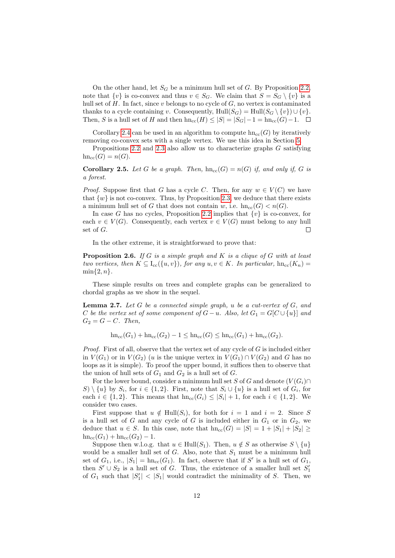On the other hand, let  $S_G$  be a minimum hull set of G. By Proposition [2.2,](#page-10-0) note that  $\{v\}$  is co-convex and thus  $v \in S_G$ . We claim that  $S = S_G \setminus \{v\}$  is a hull set of  $H$ . In fact, since v belongs to no cycle of  $G$ , no vertex is contaminated thanks to a cycle containing v. Consequently,  $\text{Hull}(S_G) = \text{Hull}(S_G \setminus \{v\}) \cup \{v\}.$ Then, S is a hull set of H and then  $\text{hn}_{cc}(H) \leq |S| = |S_G| - 1 = \text{hn}_{cc}(G) - 1.$   $\Box$ 

Corollary [2.4](#page-10-2) can be used in an algorithm to compute  $\text{hn}_{cc}(G)$  by iteratively removing co-convex sets with a single vertex. We use this idea in Section [5.](#page-24-0)

Propositions [2.2](#page-10-0) and [2.3](#page-10-1) also allow us to characterize graphs G satisfying  $hn_{cc}(G) = n(G).$ 

**Corollary 2.5.** Let G be a graph. Then,  $hn_{cc}(G) = n(G)$  if, and only if, G is a forest.

*Proof.* Suppose first that G has a cycle C. Then, for any  $w \in V(C)$  we have that  $\{w\}$  is not co-convex. Thus, by Proposition [2.3,](#page-10-1) we deduce that there exists a minimum hull set of G that does not contain w, i.e.  $hn_{cc}(G) < n(G)$ .

In case G has no cycles, Proposition [2.2](#page-10-0) implies that  $\{v\}$  is co-convex, for each  $v \in V(G)$ . Consequently, each vertex  $v \in V(G)$  must belong to any hull set of G. П

In the other extreme, it is straightforward to prove that:

<span id="page-11-1"></span>**Proposition 2.6.** If G is a simple graph and K is a clique of G with at least two vertices, then  $K \subseteq I_{cc}(\{u, v\})$ , for any  $u, v \in K$ . In particular,  $hn_{cc}(K_n)$  $\min\{2, n\}.$ 

These simple results on trees and complete graphs can be generalized to chordal graphs as we show in the sequel.

<span id="page-11-0"></span>**Lemma 2.7.** Let  $G$  be a connected simple graph,  $u$  be a cut-vertex of  $G$ , and C be the vertex set of some component of  $G-u$ . Also, let  $G_1 = G[C \cup \{u\}]$  and  $G_2 = G - C$ . Then,

 $h n_{cc}(G_1) + h n_{cc}(G_2) - 1 \leq h n_{cc}(G) \leq h n_{cc}(G_1) + h n_{cc}(G_2).$ 

*Proof.* First of all, observe that the vertex set of any cycle of  $G$  is included either in  $V(G_1)$  or in  $V(G_2)$  (u is the unique vertex in  $V(G_1) \cap V(G_2)$  and G has no loops as it is simple). To proof the upper bound, it suffices then to observe that the union of hull sets of  $G_1$  and  $G_2$  is a hull set of  $G$ .

For the lower bound, consider a minimum hull set S of G and denote  $(V(G_i) \cap$  $S \setminus \{u\}$  by  $S_i$ , for  $i \in \{1,2\}$ . First, note that  $S_i \cup \{u\}$  is a hull set of  $G_i$ , for each  $i \in \{1,2\}$ . This means that  $\text{hn}_{\text{cc}}(G_i) \leq |S_i| + 1$ , for each  $i \in \{1,2\}$ . We consider two cases.

First suppose that  $u \notin Hull(S_i)$ , for both for  $i = 1$  and  $i = 2$ . Since S is a hull set of G and any cycle of G is included either in  $G_1$  or in  $G_2$ , we deduce that  $u \in S$ . In this case, note that  $\text{hn}_{\text{cc}}(G) = |S| = 1 + |S_1| + |S_2| \ge$  $hn_{\rm cc}(G_1) + hn_{\rm cc}(G_2) - 1.$ 

Suppose then w.l.o.g. that  $u \in Hull(S_1)$ . Then,  $u \notin S$  as otherwise  $S \setminus \{u\}$ would be a smaller hull set of  $G$ . Also, note that  $S_1$  must be a minimum hull set of  $G_1$ , i.e.,  $|S_1| = \text{hn}_{cc}(G_1)$ . In fact, observe that if S' is a hull set of  $G_1$ , then  $S' \cup S_2$  is a hull set of G. Thus, the existence of a smaller hull set  $S'_1$ of  $G_1$  such that  $|S'_1| < |S_1|$  would contradict the minimality of S. Then, we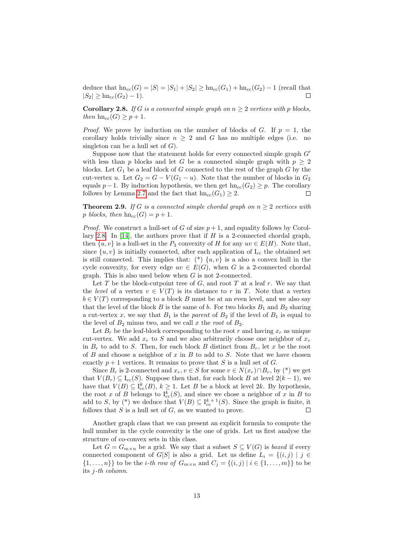deduce that  $hn_{cc}(G) = |S| = |S_1| + |S_2| \geq hn_{cc}(G_1) + hn_{cc}(G_2) - 1$  (recall that  $|S_2| \geq \text{hn}_{\text{cc}}(G_2) - 1$ . П

<span id="page-12-0"></span>**Corollary 2.8.** If G is a connected simple graph on  $n \geq 2$  vertices with p blocks, then  $\text{hn}_{\text{cc}}(G) \geq p + 1$ .

*Proof.* We prove by induction on the number of blocks of G. If  $p = 1$ , the corollary holds trivially since  $n \geq 2$  and G has no multiple edges (i.e. no singleton can be a hull set of  $G$ ).

Suppose now that the statement holds for every connected simple graph  $G'$ with less than p blocks and let G be a connected simple graph with  $p \geq 2$ blocks. Let  $G_1$  be a leaf block of G connected to the rest of the graph  $G$  by the cut-vertex u. Let  $G_2 = G - V(G_1 - u)$ . Note that the number of blocks in  $G_2$ equals  $p-1$ . By induction hypothesis, we then get hn<sub>cc</sub>( $G_2$ ) ≥ p. The corollary follows by Lemma [2.7](#page-11-0) and the fact that  $hn_{cc}(G_1) \geq 2$ .  $\Box$ 

**Theorem 2.9.** If G is a connected simple chordal graph on  $n > 2$  vertices with p blocks, then  $h n_{\text{cc}}(G) = p + 1$ .

*Proof.* We construct a hull-set of G of size  $p+1$ , and equality follows by Corol-lary [2.8.](#page-12-0) In [\[14\]](#page-27-7), the authors prove that if  $H$  is a 2-connected chordal graph, then  $\{u, v\}$  is a hull-set in the  $P_3$  convexity of H for any  $uv \in E(H)$ . Note that, since  $\{u, v\}$  is initially connected, after each application of  $I_{cc}$  the obtained set is still connected. This implies that:  $(*)$   $\{u, v\}$  is a also a convex hull in the cycle convexity, for every edge  $uv \in E(G)$ , when G is a 2-connected chordal graph. This is also used below when G is not 2-connected.

Let  $T$  be the block-cutpoint tree of  $G$ , and root  $T$  at a leaf  $r$ . We say that the level of a vertex  $v \in V(T)$  is its distance to r in T. Note that a vertex  $b \in V(T)$  corresponding to a block B must be at an even level, and we also say that the level of the block  $B$  is the same of  $b$ . For two blocks  $B_1$  and  $B_2$  sharing a cut-vertex x, we say that  $B_1$  is the *parent* of  $B_2$  if the level of  $B_1$  is equal to the level of  $B_2$  minus two, and we call x the root of  $B_2$ .

Let  $B_r$  be the leaf-block corresponding to the root r and having  $x_r$  as unique cut-vertex. We add  $x_r$  to S and we also arbitrarily choose one neighbor of  $x_r$ in  $B_r$  to add to S. Then, for each block B distinct from  $B_r$ , let x be the root of B and choose a neighbor of x in B to add to S. Note that we have chosen exactly  $p + 1$  vertices. It remains to prove that S is a hull set of G.

Since  $B_r$  is 2-connected and  $x_r, v \in S$  for some  $v \in N(x_r) \cap B_r$ , by  $(*)$  we get that  $V(B_r) \subseteq I_{cc}(S)$ . Suppose then that, for each block B at level  $2(k-1)$ , we have that  $V(B) \subseteq I_{cc}^k(B)$ ,  $k \geq 1$ . Let B be a block at level 2k. By hypothesis, the root x of B belongs to  $I_{cc}^k(S)$ , and since we chose a neighbor of x in B to add to S, by (\*) we deduce that  $V(B) \subseteq I_{cc}^{k+1}(S)$ . Since the graph is finite, it follows that  $S$  is a hull set of  $G$ , as we wanted to prove. Г

Another graph class that we can present an explicit formula to compute the hull number in the cycle convexity is the one of grids. Let us first analyse the structure of co-convex sets in this class.

Let  $G = G_{m \times n}$  be a grid. We say that a subset  $S \subseteq V(G)$  is *boxed* if every connected component of G[S] is also a grid. Let us define  $L_i = \{(i, j) | j \in$  $\{1, \ldots, n\}$  to be the *i*-th row of  $G_{m \times n}$  and  $C_i = \{(i, j) | i \in \{1, \ldots, m\}\}$  to be its j-th column.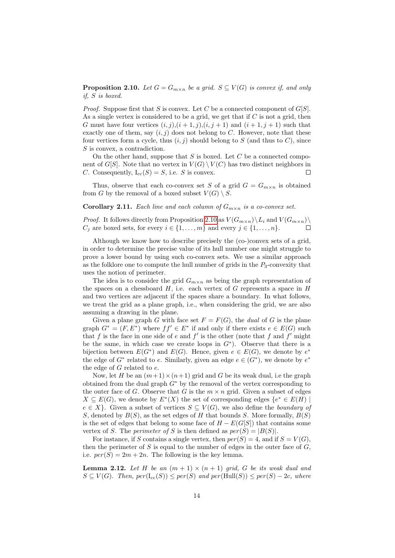<span id="page-13-0"></span>**Proposition 2.10.** Let  $G = G_{m \times n}$  be a grid.  $S \subseteq V(G)$  is convex if, and only if, S is boxed.

*Proof.* Suppose first that S is convex. Let C be a connected component of  $G[S]$ . As a single vertex is considered to be a grid, we get that if  $C$  is not a grid, then G must have four vertices  $(i, j), (i + 1, j), (i, j + 1)$  and  $(i + 1, j + 1)$  such that exactly one of them, say  $(i, j)$  does not belong to C. However, note that these four vertices form a cycle, thus  $(i, j)$  should belong to S (and thus to C), since S is convex, a contradiction.

On the other hand, suppose that  $S$  is boxed. Let  $C$  be a connected component of G[S]. Note that no vertex in  $V(G) \setminus V(C)$  has two distinct neighbors in C. Consequently,  $I_{cc}(S) = S$ , i.e. S is convex. г

Thus, observe that each co-convex set S of a grid  $G = G_{m \times n}$  is obtained from G by the removal of a boxed subset  $V(G) \setminus S$ .

Corollary 2.11. Each line and each column of  $G_{m \times n}$  is a co-convex set.

*Proof.* It follows directly from Proposition [2.10](#page-13-0) as  $V(G_{m\times n})\backslash L_i$  and  $V(G_{m\times n})\backslash L_i$  $C_j$  are boxed sets, for every  $i \in \{1, \ldots, m\}$  and every  $j \in \{1, \ldots, n\}.$ 

Although we know how to describe precisely the (co-)convex sets of a grid, in order to determine the precise value of its hull number one might struggle to prove a lower bound by using such co-convex sets. We use a similar approach as the folklore one to compute the hull number of grids in the  $P_3$ -convexity that uses the notion of perimeter.

The idea is to consider the grid  $G_{m \times n}$  as being the graph representation of the spaces on a chessboard  $H$ , i.e. each vertex of G represents a space in  $H$ and two vertices are adjacent if the spaces share a boundary. In what follows, we treat the grid as a plane graph, i.e., when considering the grid, we are also assuming a drawing in the plane.

Given a plane graph G with face set  $F = F(G)$ , the dual of G is the plane graph  $G^* = (F, E^*)$  where  $ff' \in E^*$  if and only if there exists  $e \in E(G)$  such that f is the face in one side of e and  $f'$  is the other (note that f and f' might be the same, in which case we create loops in  $G^*$ ). Observe that there is a bijection between  $E(G^*)$  and  $E(G)$ . Hence, given  $e \in E(G)$ , we denote by  $e^*$ the edge of  $G^*$  related to e. Similarly, given an edge  $e \in (G^*)$ , we denote by  $e^*$ the edge of  $G$  related to  $e$ .

Now, let H be an  $(m+1) \times (n+1)$  grid and G be its weak dual, i.e the graph obtained from the dual graph  $G^*$  by the removal of the vertex corresponding to the outer face of G. Observe that G is the  $m \times n$  grid. Given a subset of edges  $X \subseteq E(G)$ , we denote by  $E^*(X)$  the set of corresponding edges  $\{e^* \in E(H) \mid$  $e \in X$ . Given a subset of vertices  $S \subseteq V(G)$ , we also define the *boundary of* S, denoted by  $B(S)$ , as the set edges of H that bounds S. More formally,  $B(S)$ is the set of edges that belong to some face of  $H - E(G[S])$  that contains some vertex of S. The *perimeter of* S is then defined as  $per(S) = |B(S)|$ .

For instance, if S contains a single vertex, then  $per(S) = 4$ , and if  $S = V(G)$ . then the perimeter of  $S$  is equal to the number of edges in the outer face of  $G$ , i.e.  $per(S) = 2m + 2n$ . The following is the key lemma.

<span id="page-13-1"></span>**Lemma 2.12.** Let H be an  $(m + 1) \times (n + 1)$  grid, G be its weak dual and  $S \subseteq V(G)$ . Then,  $per(\mathrm{I}_{cc}(S)) \leq per(S)$  and  $per(\mathrm{Hull}(S)) \leq per(S) - 2c$ , where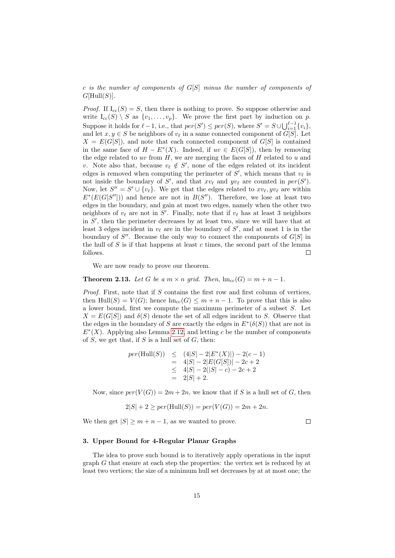c is the number of components of  $G[S]$  minus the number of components of  $G[\text{Hull}(S)]$ .

*Proof.* If  $I_{cc}(S) = S$ , then there is nothing to prove. So suppose otherwise and write  $I_{cc}(S) \setminus S$  as  $\{v_1, \ldots, v_p\}$ . We prove the first part by induction on p. Suppose it holds for  $\ell - 1$ , i.e., that  $per(S') \leq per(S)$ , where  $S' = S \cup \bigcup_{i=1}^{\ell-1} \{v_i\}$ , and let  $x, y \in S$  be neighbors of  $v_{\ell}$  in a same connected component of  $G[S]$ . Let  $X = E(G[S])$ , and note that each connected component of  $G[S]$  is contained in the same face of  $H - E^*(X)$ . Indeed, if  $uv \in E(G[S])$ , then by removing the edge related to uv from  $H$ , we are merging the faces of  $H$  related to u and v. Note also that, because  $v_{\ell} \notin S'$ , none of the edges related ot its incident edges is removed when computing the perimeter of  $S'$ , which means that  $v_{\ell}$  is not inside the boundary of S', and that  $xv_\ell$  and  $yv_\ell$  are counted in  $per(S')$ . Now, let  $S'' = S' \cup \{v_\ell\}$ . We get that the edges related to  $xv_\ell, yv_\ell$  are within  $E^*(E(G[S''])$  and hence are not in  $B(S'')$ . Therefore, we lose at least two edges in the boundary, and gain at most two edges, namely when the other two neighbors of  $v_{\ell}$  are not in S'. Finally, note that if  $v_{\ell}$  has at least 3 neighbors in  $S'$ , then the perimeter decreases by at least two, since we will have that at least 3 edges incident in  $v_{\ell}$  are in the boundary of  $S'$ , and at most 1 is in the boundary of  $S''$ . Because the only way to connect the components of  $G[S]$  in the hull of S is if that happens at least c times, the second part of the lemma follows.  $\Box$ 

We are now ready to prove our theorem.

**Theorem 2.13.** Let G be a  $m \times n$  grid. Then,  $hn_{cc}(G) = m + n - 1$ .

*Proof.* First, note that if  $S$  contains the first row and first column of vertices, then Hull(S) =  $V(G)$ ; hence  $hn_{cc}(G) \leq m + n - 1$ . To prove that this is also a lower bound, first we compute the maximum perimeter of a subset S. Let  $X = E(G[S])$  and  $\delta(S)$  denote the set of all edges incident to S. Observe that the edges in the boundary of S are exactly the edges in  $E^*(\delta(S))$  that are not in  $E^*(X)$ . Applying also Lemma [2.12,](#page-13-1) and letting c be the number of components of  $S$ , we get that, if  $S$  is a hull set of  $G$ , then:

$$
per(Hull(S)) \le (4|S| - 2|E^*(X)|) - 2(c - 1)
$$
  
= 4|S| - 2|E(G[S])| - 2c + 2  

$$
\le 4|S| - 2(|S| - c) - 2c + 2
$$
  
= 2|S| + 2.

Now, since  $per(V(G)) = 2m + 2n$ , we know that if S is a hull set of G, then

$$
2|S| + 2 \geq per(Hull(S)) = per(V(G)) = 2m + 2n.
$$

We then get  $|S| \geq m + n - 1$ , as we wanted to prove.

### $\Box$

# <span id="page-14-0"></span>3. Upper Bound for 4-Regular Planar Graphs

The idea to prove such bound is to iteratively apply operations in the input graph G that ensure at each step the properties: the vertex set is reduced by at least two vertices; the size of a minimum hull set decreases by at at most one; the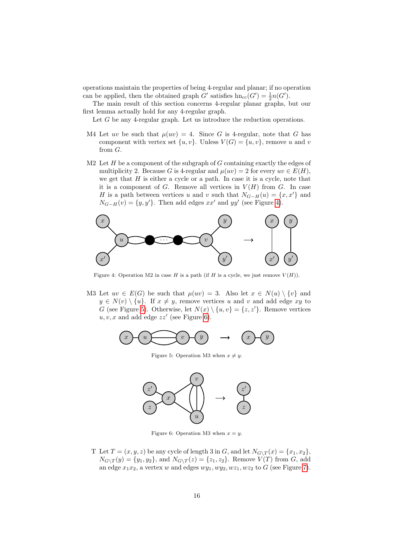operations maintain the properties of being 4-regular and planar; if no operation can be applied, then the obtained graph  $G'$  satisfies  $h n_{cc}(G') = \frac{1}{2}n(G')$ .

The main result of this section concerns 4-regular planar graphs, but our first lemma actually hold for any 4-regular graph.

Let  $G$  be any 4-regular graph. Let us introduce the reduction operations.

- M4 Let uv be such that  $\mu(uv) = 4$ . Since G is 4-regular, note that G has component with vertex set  $\{u, v\}$ . Unless  $V(G) = \{u, v\}$ , remove u and v from G.
- M2 Let  $H$  be a component of the subgraph of  $G$  containing exactly the edges of multiplicity 2. Because G is 4-regular and  $\mu(uv) = 2$  for every  $uv \in E(H)$ , we get that  $H$  is either a cycle or a path. In case it is a cycle, note that it is a component of  $G$ . Remove all vertices in  $V(H)$  from  $G$ . In case H is a path between vertices u and v such that  $N_{G-H}(u) = \{x, x'\}$  and  $N_{G-H}(v) = \{y, y'\}.$  Then add edges  $xx'$  and  $yy'$  (see Figure [4\)](#page-15-0).

<span id="page-15-0"></span>

Figure 4: Operation M2 in case H is a path (if H is a cycle, we just remove  $V(H)$ ).

M3 Let  $uv \in E(G)$  be such that  $\mu(uv) = 3$ . Also let  $x \in N(u) \setminus \{v\}$  and  $y \in N(v) \setminus \{u\}$ . If  $x \neq y$ , remove vertices u and v and add edge xy to G (see Figure [5\)](#page-15-1). Otherwise, let  $N(x) \setminus \{u, v\} = \{z, z'\}.$  Remove vertices  $u, v, x$  and add edge  $zz'$  (see Figure [6\)](#page-15-2).

<span id="page-15-2"></span><span id="page-15-1"></span>

Figure 5: Operation M3 when  $x \neq y$ .



Figure 6: Operation M3 when  $x = y$ .

T Let  $T = (x, y, z)$  be any cycle of length 3 in G, and let  $N_{G \setminus T}(x) = \{x_1, x_2\},\$  $N_{G\setminus T}(y) = \{y_1, y_2\}$ , and  $N_{G\setminus T}(z) = \{z_1, z_2\}$ . Remove  $V(T)$  from G, add an edge  $x_1x_2$ , a vertex w and edges  $wy_1, wy_2, wz_1, wz_2$  to G (see Figure [7\)](#page-16-0).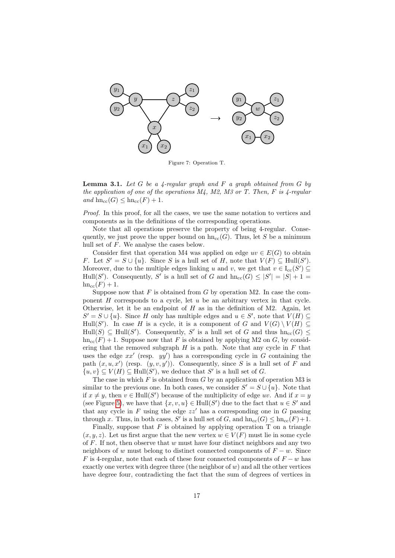<span id="page-16-0"></span>

Figure 7: Operation T.

<span id="page-16-1"></span>**Lemma 3.1.** Let G be a 4-regular graph and F a graph obtained from G by the application of one of the operations  $M<sub>4</sub>$ ,  $M<sub>2</sub>$ ,  $M<sub>3</sub>$  or T. Then, F is 4-regular and  $\text{hn}_{\text{cc}}(G) \leq \text{hn}_{\text{cc}}(F) + 1$ .

Proof. In this proof, for all the cases, we use the same notation to vertices and components as in the definitions of the corresponding operations.

Note that all operations preserve the property of being 4-regular. Consequently, we just prove the upper bound on  $\text{hn}_{cc}(G)$ . Thus, let S be a minimum hull set of F. We analyse the cases below.

Consider first that operation M4 was applied on edge  $uv \in E(G)$  to obtain F. Let  $S' = S \cup \{u\}$ . Since S is a hull set of H, note that  $V(F) \subseteq Hull(S')$ . Moreover, due to the multiple edges linking u and v, we get that  $v \in I_{cc}(S') \subseteq$ Hull(S'). Consequently, S' is a hull set of G and  $\text{hn}_{cc}(G) \leq |S'| = |S| + 1 =$  $hn_{cc}(F) + 1.$ 

Suppose now that  $F$  is obtained from  $G$  by operation M2. In case the component  $H$  corresponds to a cycle, let  $u$  be an arbitrary vertex in that cycle. Otherwise, let it be an endpoint of  $H$  as in the definition of M2. Again, let  $S' = S \cup \{u\}$ . Since H only has multiple edges and  $u \in S'$ , note that  $V(H) \subseteq$ Hull(S'). In case H is a cycle, it is a component of G and  $V(G) \setminus V(H) \subseteq$  $\text{Hull}(S) \subseteq \text{Hull}(S')$ . Consequently, S' is a hull set of G and thus  $\text{hn}_{\text{cc}}(G) \leq$  $h n_{cc}(F) + 1$ . Suppose now that F is obtained by applying M2 on G, by considering that the removed subgraph  $H$  is a path. Note that any cycle in  $F$  that uses the edge  $xx'$  (resp.  $yy'$ ) has a corresponding cycle in G containing the path  $(x, u, x')$  (resp.  $(y, v, y')$ ). Consequently, since S is a hull set of F and  $\{u, v\} \subseteq V(H) \subseteq Hull(S'),$  we deduce that S' is a hull set of G.

The case in which  $F$  is obtained from  $G$  by an application of operation M3 is similar to the previous one. In both cases, we consider  $S' = S \cup \{u\}$ . Note that if  $x \neq y$ , then  $v \in Hull(S')$  because of the multiplicity of edge uv. And if  $x = y$ (see Figure [5\)](#page-15-1), we have that  $\{x, v, u\} \in Hull(S')$  due to the fact that  $u \in S'$  and that any cycle in  $F$  using the edge  $zz'$  has a corresponding one in  $G$  passing through x. Thus, in both cases, S' is a hull set of G, and  $\text{hn}_{cc}(G) \leq \text{hn}_{cc}(F) + 1$ .

Finally, suppose that  $F$  is obtained by applying operation  $T$  on a triangle  $(x, y, z)$ . Let us first argue that the new vertex  $w \in V(F)$  must lie in some cycle of  $F$ . If not, then observe that  $w$  must have four distinct neighbors and any two neighbors of w must belong to distinct connected components of  $F - w$ . Since F is 4-regular, note that each of these four connected components of  $F - w$  has exactly one vertex with degree three (the neighbor of  $w$ ) and all the other vertices have degree four, contradicting the fact that the sum of degrees of vertices in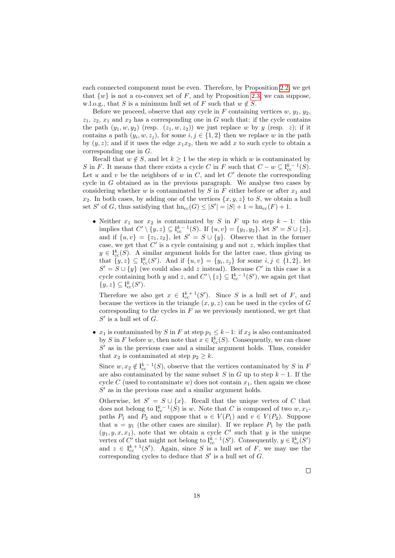each connected component must be even. Therefore, by Proposition [2.2,](#page-10-0) we get that  $\{w\}$  is not a co-convex set of F, and by Proposition [2.3,](#page-10-1) we can suppose, w.l.o.g., that S is a minimum hull set of F such that  $w \notin S$ .

Before we proceed, observe that any cycle in F containing vertices  $w, y_1, y_2$ ,  $z_1, z_2, x_1$  and  $x_2$  has a corresponding one in G such that: if the cycle contains the path  $(y_1, w, y_2)$  (resp.  $(z_1, w, z_2)$ ) we just replace w by y (resp. z); if it contains a path  $(y_i, w, z_j)$ , for some  $i, j \in \{1, 2\}$  then we replace w in the path by  $(y, z)$ ; and if it uses the edge  $x_1x_2$ , then we add x to such cycle to obtain a corresponding one in G.

Recall that  $w \notin S$ , and let  $k \geq 1$  be the step in which w is contaminated by S in F. It means that there exists a cycle C in F such that  $C - w \subseteq I_{cc}^{k-1}(S)$ . Let  $u$  and  $v$  be the neighbors of  $w$  in  $C$ , and let  $C'$  denote the corresponding cycle in  $G$  obtained as in the previous paragraph. We analyse two cases by considering whether  $w$  is contaminated by  $S$  in  $F$  either before or after  $x_1$  and  $x_2$ . In both cases, by adding one of the vertices  $\{x, y, z\}$  to S, we obtain a hull set S' of G, thus satisfying that  $\text{hn}_{cc}(G) \leq |S'| = |S| + 1 = \text{hn}_{cc}(F) + 1$ .

• Neither  $x_1$  nor  $x_2$  is contaminated by S in F up to step  $k-1$ : this implies that  $C' \setminus \{y, z\} \subseteq I_{cc}^{k-1}(S)$ . If  $\{u, v\} = \{y_1, y_2\}$ , let  $S' = S \cup \{z\}$ , and if  $\{u, v\} = \{z_1, z_2\}$ , let  $S' = S \cup \{y\}$ . Observe that in the former case, we get that  $C'$  is a cycle containing y and not z, which implies that  $y \in I_{\text{cc}}^{k}(S)$ . A similar argument holds for the latter case, thus giving us that  $\{y, z\} \subseteq I_{cc}^k(S')$ . And if  $\{u, v\} = \{y_i, z_j\}$  for some  $i, j \in \{1, 2\}$ , let  $S' = S \cup \{y\}$  (we could also add z instead). Because C' in this case is a cycle containing both y and z, and  $C' \setminus \{z\} \subseteq I_{cc}^{k-1}(S')$ , we again get that  $\{y, z\} \subseteq I_{\text{cc}}^k(S').$ 

Therefore we also get  $x \in I_{cc}^{k+1}(S')$ . Since S is a hull set of F, and because the vertices in the triangle  $(x, y, z)$  can be used in the cycles of G corresponding to the cycles in  $F$  as we previously mentioned, we get that  $S^\prime$  is a hull set of  $G.$ 

•  $x_1$  is contaminated by S in F at step  $p_1 \leq k-1$ : if  $x_2$  is also contaminated by S in F before w, then note that  $x \in I_{cc}^k(S)$ . Consequently, we can chose  $S'$  as in the previous case and a similar argument holds. Thus, consider that  $x_2$  is contaminated at step  $p_2 \geq k$ .

Since  $w, x_2 \notin I_{cc}^{k-1}(S)$ , observe that the vertices contaminated by S in F are also contaminated by the same subset S in G up to step  $k - 1$ . If the cycle C (used to contaminate w) does not contain  $x_1$ , then again we chose  $S'$  as in the previous case and a similar argument holds.

Otherwise, let  $S' = S \cup \{x\}$ . Recall that the unique vertex of C that does not belong to  $I_{cc}^{k-1}(S)$  is w. Note that C is composed of two  $w, x_1$ paths  $P_1$  and  $P_2$  and suppose that  $u \in V(P_1)$  and  $v \in V(P_2)$ . Suppose that  $u = y_1$  (the other cases are similar). If we replace  $P_1$  by the path  $(y_1, y, x, x_1)$ , note that we obtain a cycle C' such that y is the unique vertex of C' that might not belong to  $I_{cc}^{k-1}(S')$ . Consequently,  $y \in I_{cc}^{k}(S')$ and  $z \in I_{cc}^{k+1}(S')$ . Again, since S is a hull set of F, we may use the corresponding cycles to deduce that  $S'$  is a hull set of  $G$ .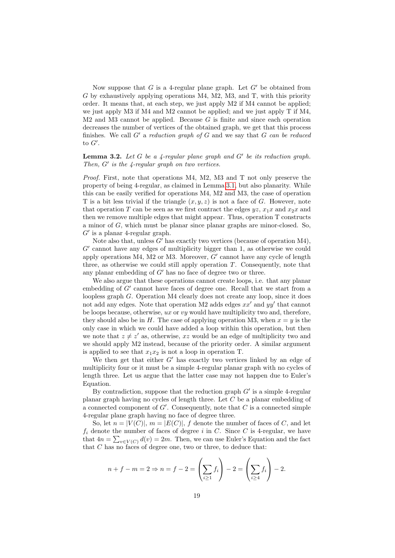Now suppose that G is a 4-regular plane graph. Let  $G'$  be obtained from G by exhaustively applying operations M4, M2, M3, and T, with this priority order. It means that, at each step, we just apply M2 if M4 cannot be applied; we just apply M3 if M4 and M2 cannot be applied; and we just apply T if M4,  $M2$  and  $M3$  cannot be applied. Because G is finite and since each operation decreases the number of vertices of the obtained graph, we get that this process finishes. We call  $G'$  a reduction graph of G and we say that G can be reduced to  $G'$ .

# <span id="page-18-0"></span>**Lemma 3.2.** Let G be a  $\frac{1}{4}$ -regular plane graph and G' be its reduction graph. Then,  $G'$  is the 4-regular graph on two vertices.

Proof. First, note that operations M4, M2, M3 and T not only preserve the property of being 4-regular, as claimed in Lemma [3.1,](#page-16-1) but also planarity. While this can be easily verified for operations M4, M2 and M3, the case of operation T is a bit less trivial if the triangle  $(x, y, z)$  is not a face of G. However, note that operation T can be seen as we first contract the edges  $yz$ ,  $x_1x$  and  $x_2x$  and then we remove multiple edges that might appear. Thus, operation T constructs a minor of G, which must be planar since planar graphs are minor-closed. So,  $G'$  is a planar 4-regular graph.

Note also that, unless  $G'$  has exactly two vertices (because of operation M4),  $G'$  cannot have any edges of multiplicity bigger than 1, as otherwise we could apply operations M4, M2 or M3. Moreover,  $G'$  cannot have any cycle of length three, as otherwise we could still apply operation  $T$ . Consequently, note that any planar embedding of  $G'$  has no face of degree two or three.

We also argue that these operations cannot create loops, i.e. that any planar embedding of  $G'$  cannot have faces of degree one. Recall that we start from a loopless graph G. Operation M4 clearly does not create any loop, since it does not add any edges. Note that operation M2 adds edges  $xx'$  and  $yy'$  that cannot be loops because, otherwise,  $ux$  or  $vy$  would have multiplicity two and, therefore, they should also be in H. The case of applying operation M3, when  $x = y$  is the only case in which we could have added a loop within this operation, but then we note that  $z \neq z'$  as, otherwise, xz would be an edge of multiplicity two and we should apply M2 instead, because of the priority order. A similar argument is applied to see that  $x_1x_2$  is not a loop in operation T.

We then get that either  $G'$  has exactly two vertices linked by an edge of multiplicity four or it must be a simple 4-regular planar graph with no cycles of length three. Let us argue that the latter case may not happen due to Euler's Equation.

By contradiction, suppose that the reduction graph  $G'$  is a simple 4-regular planar graph having no cycles of length three. Let  $C$  be a planar embedding of a connected component of  $G'$ . Consequently, note that  $C$  is a connected simple 4-regular plane graph having no face of degree three.

So, let  $n = |V(C)|$ ,  $m = |E(C)|$ , f denote the number of faces of C, and let  $f_i$  denote the number of faces of degree i in C. Since C is 4-regular, we have that  $4n = \sum_{v \in V(C)} d(v) = 2m$ . Then, we can use Euler's Equation and the fact that  $C$  has no faces of degree one, two or three, to deduce that:

$$
n + f - m = 2 \Rightarrow n = f - 2 = \left(\sum_{i \ge 1} f_i\right) - 2 = \left(\sum_{i \ge 4} f_i\right) - 2.
$$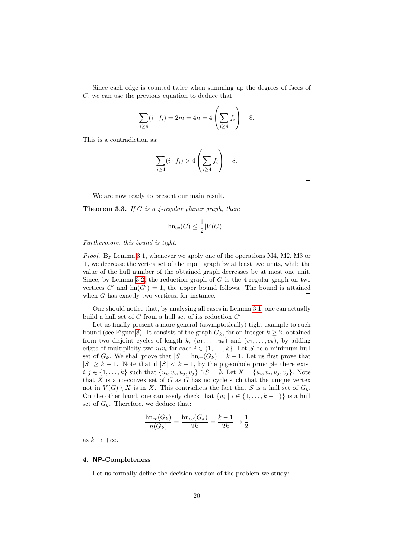Since each edge is counted twice when summing up the degrees of faces of C, we can use the previous equation to deduce that:

$$
\sum_{i \ge 4} (i \cdot f_i) = 2m = 4n = 4 \left( \sum_{i \ge 4} f_i \right) - 8.
$$

This is a contradiction as:

$$
\sum_{i\geq 4} (i \cdot f_i) > 4 \left( \sum_{i\geq 4} f_i \right) - 8.
$$

 $\Box$ 

We are now ready to present our main result.

<span id="page-19-1"></span>**Theorem 3.3.** If G is a 4-regular planar graph, then:

$$
\text{hn}_{\text{cc}}(G) \le \frac{1}{2}|V(G)|.
$$

Furthermore, this bound is tight.

Proof. By Lemma [3.1,](#page-16-1) whenever we apply one of the operations M4, M2, M3 or T, we decrease the vertex set of the input graph by at least two units, while the value of the hull number of the obtained graph decreases by at most one unit. Since, by Lemma [3.2,](#page-18-0) the reduction graph of  $G$  is the 4-regular graph on two vertices  $G'$  and  $hn(G') = 1$ , the upper bound follows. The bound is attained when G has exactly two vertices, for instance.  $\Box$ 

One should notice that, by analysing all cases in Lemma [3.1,](#page-16-1) one can actually build a hull set of  $G$  from a hull set of its reduction  $G'$ .

Let us finally present a more general (asymptotically) tight example to such bound (see Figure [8\)](#page-20-0). It consists of the graph  $G_k$ , for an integer  $k \geq 2$ , obtained from two disjoint cycles of length k,  $(u_1, \ldots, u_k)$  and  $(v_1, \ldots, v_k)$ , by adding edges of multiplicity two  $u_i v_i$  for each  $i \in \{1, ..., k\}$ . Let S be a minimum hull set of  $G_k$ . We shall prove that  $|S| = \text{hn}_{cc}(G_k) = k - 1$ . Let us first prove that  $|S| \geq k-1$ . Note that if  $|S| < k-1$ , by the pigeonhole principle there exist  $i, j \in \{1, ..., k\}$  such that  $\{u_i, v_i, u_j, v_j\} \cap S = \emptyset$ . Let  $X = \{u_i, v_i, u_j, v_j\}$ . Note that  $X$  is a co-convex set of  $G$  as  $G$  has no cycle such that the unique vertex not in  $V(G) \setminus X$  is in X. This contradicts the fact that S is a hull set of  $G_k$ . On the other hand, one can easily check that  $\{u_i \mid i \in \{1, ..., k-1\}\}\$ is a hull set of  $G_k$ . Therefore, we deduce that:

$$
\frac{\text{hn}_{\text{cc}}(G_k)}{n(G_k)} = \frac{\text{hn}_{\text{cc}}(G_k)}{2k} = \frac{k-1}{2k} \to \frac{1}{2}
$$

as  $k \to +\infty$ .

### <span id="page-19-0"></span>4. NP-Completeness

Let us formally define the decision version of the problem we study: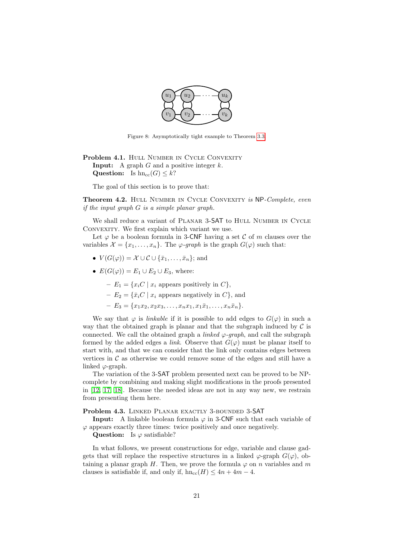

<span id="page-20-0"></span>Figure 8: Asymptotically tight example to Theorem [3.3.](#page-19-1)

Problem 4.1. HULL NUMBER IN CYCLE CONVEXITY **Input:** A graph  $G$  and a positive integer  $k$ . Question: Is  $hn_{cc}(G) \leq k$ ?

The goal of this section is to prove that:

<span id="page-20-1"></span>Theorem 4.2. HULL NUMBER IN CYCLE CONVEXITY is NP-Complete, even if the input graph G is a simple planar graph.

We shall reduce a variant of PLANAR 3-SAT to HULL NUMBER IN CYCLE CONVEXITY. We first explain which variant we use.

Let  $\varphi$  be a boolean formula in 3-CNF having a set C of m clauses over the variables  $\mathcal{X} = \{x_1, \ldots, x_n\}$ . The  $\varphi$ -graph is the graph  $G(\varphi)$  such that:

- $V(G(\varphi)) = \mathcal{X} \cup \mathcal{C} \cup {\bar{x}_1, \ldots, \bar{x}_n}$ ; and
- $E(G(\varphi)) = E_1 \cup E_2 \cup E_3$ , where:
	- $E_1 = \{x_i C \mid x_i \text{ appears positively in } C\},\$
	- $E_2 = \{\bar{x}_i C \mid x_i \text{ appears negatively in } C\},\$
	- $-E_3 = \{x_1x_2, x_2x_3, \ldots, x_nx_1, x_1\overline{x}_1, \ldots, x_n\overline{x}_n\}.$

We say that  $\varphi$  is *linkable* if it is possible to add edges to  $G(\varphi)$  in such a way that the obtained graph is planar and that the subgraph induced by  $\mathcal C$  is connected. We call the obtained graph a *linked*  $\varphi$ -graph, and call the subgraph formed by the added edges a *link*. Observe that  $G(\varphi)$  must be planar itself to start with, and that we can consider that the link only contains edges between vertices in  $\mathcal C$  as otherwise we could remove some of the edges and still have a linked  $\varphi$ -graph.

The variation of the 3-SAT problem presented next can be proved to be NPcomplete by combining and making slight modifications in the proofs presented in [\[12,](#page-27-5) [17,](#page-27-10) [18\]](#page-27-11). Because the needed ideas are not in any way new, we restrain from presenting them here.

#### Problem 4.3. LINKED PLANAR EXACTLY 3-BOUNDED 3-SAT

**Input:** A linkable boolean formula  $\varphi$  in 3-CNF such that each variable of  $\varphi$  appears exactly three times: twice positively and once negatively.

Question: Is  $\varphi$  satisfiable?

In what follows, we present constructions for edge, variable and clause gadgets that will replace the respective structures in a linked  $\varphi$ -graph  $G(\varphi)$ , obtaining a planar graph H. Then, we prove the formula  $\varphi$  on n variables and m clauses is satisfiable if, and only if,  $hn_{cc}(H) \leq 4n + 4m - 4$ .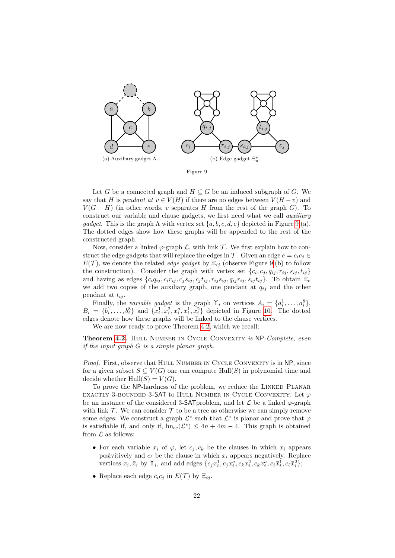<span id="page-21-0"></span>

Let G be a connected graph and  $H \subseteq G$  be an induced subgraph of G. We say that H is pendant at  $v \in V(H)$  if there are no edges between  $V(H - v)$  and  $V(G-H)$  (in other words, v separates H from the rest of the graph G). To construct our variable and clause gadgets, we first need what we call *auxiliary* gadget. This is the graph  $\Lambda$  with vertex set  $\{a, b, c, d, e\}$  depicted in Figure [9.](#page-21-0)(a). The dotted edges show how these graphs will be appended to the rest of the constructed graph.

Now, consider a linked  $\varphi$ -graph  $\mathcal{L}$ , with link  $\mathcal{T}$ . We first explain how to construct the edge gadgets that will replace the edges in  $\mathcal{T}$ . Given an edge  $e = c_i c_j \in$  $E(\mathcal{T})$ , we denote the related *edge gadget* by  $\Xi_{ij}$  (observe Figure [9.](#page-21-0)(b) to follow the construction). Consider the graph with vertex set  $\{c_i, c_j, q_{ij}, r_{ij}, s_{ij}, t_{ij}\}$ and having as edges  $\{c_iq_{ij}, c_ir_{ij}, c_js_{ij}, c_jt_{ij}, r_{ij}s_{ij}, q_{ij}r_{ij}, s_{ij}t_{ij}\}$ . To obtain  $\Xi_e$ we add two copies of the auxiliary graph, one pendant at  $q_{ij}$  and the other pendant at  $t_{ij}$ .

Finally, the *variable gadget* is the graph  $\Upsilon_i$  on vertices  $A_i = \{a_i^1, \ldots, a_i^8\}$ ,  $B_i = \{b_i^1, \ldots, b_i^8\}$  and  $\{x_i^1, x_i^2, x_i^a, \bar{x}_i^1, \bar{x}_i^2\}$  depicted in Figure [10.](#page-22-0) The dotted edges denote how these graphs will be linked to the clause vertices.

We are now ready to prove Theorem [4.2,](#page-20-1) which we recall:

**Theorem [4.2.](#page-20-1)** HULL NUMBER IN CYCLE CONVEXITY is NP-Complete, even if the input graph  $G$  is a simple planar graph.

Proof. First, observe that HULL NUMBER IN CYCLE CONVEXITY is in NP, since for a given subset  $S \subseteq V(G)$  one can compute Hull(S) in polynomial time and decide whether  $Hull(S) = V(G)$ .

To prove the NP-hardness of the problem, we reduce the LINKED PLANAR EXACTLY 3-BOUNDED 3-SAT to HULL NUMBER IN CYCLE CONVEXITY. Let  $\varphi$ be an instance of the considered 3-SAT problem, and let  $\mathcal L$  be a linked  $\varphi$ -graph with link  $\mathcal T$ . We can consider  $\mathcal T$  to be a tree as otherwise we can simply remove some edges. We construct a graph  $\mathcal{L}^*$  such that  $\mathcal{L}^*$  is planar and prove that  $\varphi$ is satisfiable if, and only if,  $hn_{cc}(\mathcal{L}^*) \leq 4n + 4m - 4$ . This graph is obtained from  $\mathcal L$  as follows:

- For each variable  $x_i$  of  $\varphi$ , let  $c_j, c_k$  be the clauses in which  $x_i$  appears posivitively and  $c_{\ell}$  be the clause in which  $x_i$  appears negatively. Replace vertices  $x_i, \bar{x}_i$  by  $\Upsilon_i$ , and add edges  $\{c_j x_i^1, c_j x_i^a, c_k x_i^2, c_k x_i^a, c_\ell \bar{x}_i^1, c_\ell \bar{x}_i^2\};$
- Replace each edge  $c_i c_j$  in  $E(\mathcal{T})$  by  $\Xi_{ij}$ .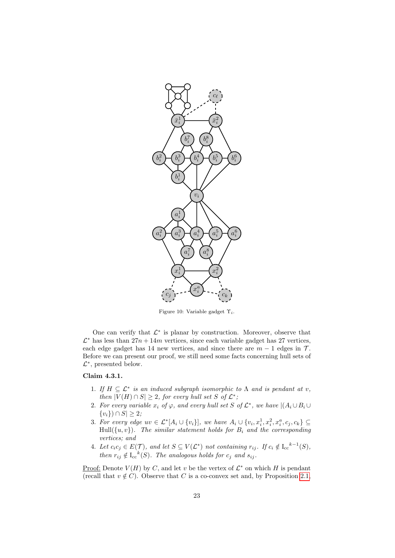<span id="page-22-0"></span>

Figure 10: Variable gadget  $\Upsilon_i$ .

One can verify that  $\mathcal{L}^*$  is planar by construction. Moreover, observe that  $\mathcal{L}^*$  has less than  $27n + 14m$  vertices, since each variable gadget has 27 vertices, each edge gadget has 14 new vertices, and since there are  $m - 1$  edges in  $\mathcal{T}$ . Before we can present our proof, we still need some facts concerning hull sets of  $\mathcal{L}^*$ , presented below.

# <span id="page-22-1"></span>Claim 4.3.1.

- 1. If  $H \subseteq \mathcal{L}^*$  is an induced subgraph isomorphic to  $\Lambda$  and is pendant at v, then  $|V(H) \cap S| \geq 2$ , for every hull set S of  $\mathcal{L}^*$ ;
- 2. For every variable x<sup>i</sup> of ϕ, and every hull set S of L ∗ , we have |(A<sup>i</sup> ∪B<sup>i</sup> ∪  ${v_i}) \cap S \geq 2;$
- 3. For every edge  $uv \in \mathcal{L}^*[A_i \cup \{v_i\}],$  we have  $A_i \cup \{v_i, x_i^1, x_i^2, x_i^a, c_j, c_k\} \subseteq$ Hull $(\lbrace u, v \rbrace)$ . The similar statement holds for  $B_i$  and the corresponding vertices; and
- 4. Let  $c_i c_j \in E(\mathcal{T})$ , and let  $S \subseteq V(\mathcal{L}^*)$  not containing  $r_{ij}$ . If  $c_i \notin I_{cc}^{k-1}(S)$ , then  $r_{ij} \notin I_{cc}^{k}(S)$ . The analogous holds for  $c_j$  and  $s_{ij}$ .

Proof: Denote  $V(H)$  by C, and let v be the vertex of  $\mathcal{L}^*$  on which H is pendant (recall that  $v \notin C$ ). Observe that C is a co-convex set and, by Proposition [2.1,](#page-9-2)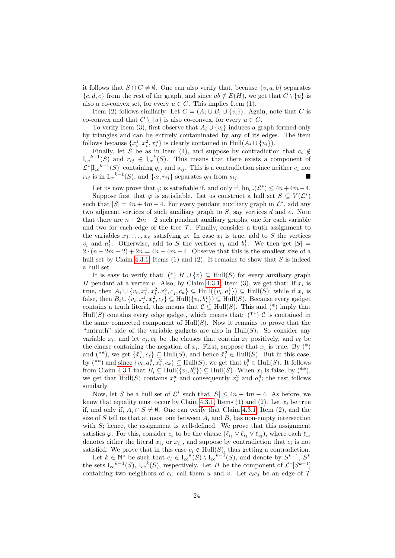it follows that  $S \cap C \neq \emptyset$ . One can also verify that, because  $\{v, a, b\}$  separates  $\{c, d, e\}$  from the rest of the graph, and since  $ab \notin E(H)$ , we get that  $C \setminus \{u\}$  is also a co-convex set, for every  $u \in C$ . This implies Item (1).

Item (2) follows similarly. Let  $C = (A_i \cup B_i \cup \{v_i\})$ . Again, note that C is co-convex and that  $C \setminus \{u\}$  is also co-convex, for every  $u \in C$ .

To verify Item (3), first observe that  $A_i \cup \{v_i\}$  induces a graph formed only by triangles and can be entirely contaminated by any of its edges. The item follows because  $\{x_i^1, x_i^2, x_i^a\}$  is clearly contained in  $\text{Hull}(A_i \cup \{v_i\})$ .

Finally, let S be as in Item (4), and suppose by contradiction that  $c_i \notin$  $I_{cc}^{k-1}(S)$  and  $r_{ij} \in I_{cc}^{k}(S)$ . This means that there exists a component of  $\mathcal{L}^*[\mathrm{I}_{\mathrm{cc}}^{k-1}(S)]$  containing  $q_{ij}$  and  $s_{ij}$ . This is a contradiction since neither  $c_i$  nor  $r_{ij}$  is in  $I_{cc}^{k-1}(S)$ , and  $\{c_i, r_{ij}\}$  separates  $q_{ij}$  from  $s_{ij}$ .

Let us now prove that  $\varphi$  is satisfiable if, and only if,  $h n_{cc}(\mathcal{L}^*) \leq 4n + 4m - 4$ . Suppose first that  $\varphi$  is satisfiable. Let us construct a hull set  $S \subseteq V(\mathcal{L}^*)$ such that  $|S| = 4n + 4m - 4$ . For every pendant auxiliary graph in  $\mathcal{L}^*$ , add any two adjacent vertices of such auxiliary graph to  $S$ , say vertices  $d$  and  $e$ . Note that there are  $n + 2m - 2$  such pendant auxiliary graphs, one for each variable and two for each edge of the tree  $\mathcal{T}$ . Finally, consider a truth assignment to the variables  $x_1, \ldots, x_n$  satisfying  $\varphi$ . In case  $x_i$  is true, add to S the vertices  $v_i$  and  $a_i^1$ . Otherwise, add to S the vertices  $v_i$  and  $b_i^1$ . We then get  $|S|$  =  $2 \cdot (n+2m-2)+2n = 4n+4m-4$ . Observe that this is the smallest size of a hull set by Claim [4.3.1,](#page-22-1) Items (1) and (2). It remains to show that  $S$  is indeed a hull set.

It is easy to verify that: (\*)  $H \cup \{v\} \subseteq Hull(S)$  for every auxiliary graph H pendant at a vertex v. Also, by Claim [4.3.1,](#page-22-1) Item  $(3)$ , we get that: if  $x_i$  is true, then  $A_i \cup \{v_i, x_i^1, x_i^2, x_i^a, c_j, c_k\} \subseteq \text{Hull}(\{v_i, a_i^1\}) \subseteq \text{Hull}(S)$ ; while if  $x_i$  is false, then  $B_i \cup \{v_i, \bar{x}_i^1, \bar{x}_i^2, c_\ell\} \subseteq \text{Hull}(\{v_i, b_i^1\}) \subseteq \text{Hull}(S)$ . Because every gadget contains a truth literal, this means that  $\mathcal{C} \subseteq \text{Hull}(S)$ . This and (\*) imply that  $Hull(S)$  contains every edge gadget, which means that:  $(**)$  C is contained in the same connected component of  $Hull(S)$ . Now it remains to prove that the "untruth" side of the variable gadgets are also in  $Hull(S)$ . So consider any variable  $x_i$ , and let  $c_j, c_k$  be the clauses that contain  $x_i$  positively, and  $c_\ell$  be the clause containing the negation of  $x_i$ . First, suppose that  $x_i$  is true. By (\*) and (\*\*), we get  $\{\bar{x}_i^1, c_\ell\} \subseteq \text{Hull}(S)$ , and hence  $\bar{x}_i^2 \in \text{Hull}(S)$ . But in this case, by (\*\*) and since  $\{v_i, a_i^6, x_i^2, c_k\} \subseteq \text{Hull}(S)$ , we get that  $b_i^6 \in \text{Hull}(S)$ . It follows from Claim [4.3.1](#page-22-1) that  $B_i \subseteq Hull({v_i, b_i^6}) \subseteq Hull(S)$ . When  $x_i$  is false, by (\*\*), we get that  $\text{Hull}(S)$  contains  $x_i^a$  and consequently  $x_i^2$  and  $a_i^6$ ; the rest follows similarly.

Now, let S be a hull set of  $\mathcal{L}^*$  such that  $|S| \leq 4n + 4m - 4$ . As before, we know that equality must occur by Claim [4.3.1,](#page-22-1) Items (1) and (2). Let  $x_i$  be true if, and only if,  $A_i \cap S \neq \emptyset$ . One can verify that Claim [4.3.1,](#page-22-1) Item (2), and the size of S tell us that at most one between  $A_i$  and  $B_i$  has non-empty intersection with  $S$ ; hence, the assignment is well-defined. We prove that this assignment satisfies  $\varphi$ . For this, consider  $c_i$  to be the clause  $(\ell_{i_1} \vee \ell_{i_2} \vee \ell_{i_3})$ , where each  $\ell_{i_j}$ denotes either the literal  $x_{i_j}$  or  $\bar{x}_{i_j}$ , and suppose by contradiction that  $c_i$  is not satisfied. We prove that in this case  $c_i \notin Hull(S)$ , thus getting a contradiction.

Let  $k \in \mathbb{N}^*$  be such that  $c_i \in I_{cc}^k(S) \setminus I_{cc}^{k-1}(S)$ , and denote by  $S^{k-1}$ ,  $S^k$ the sets  $I_{cc}^{k-1}(S)$ ,  $I_{cc}^{k}(S)$ , respectively. Let H be the component of  $\mathcal{L}^*[S^{k-1}]$ containing two neighbors of  $c_i$ ; call them u and v. Let  $c_i c_j$  be an edge of 7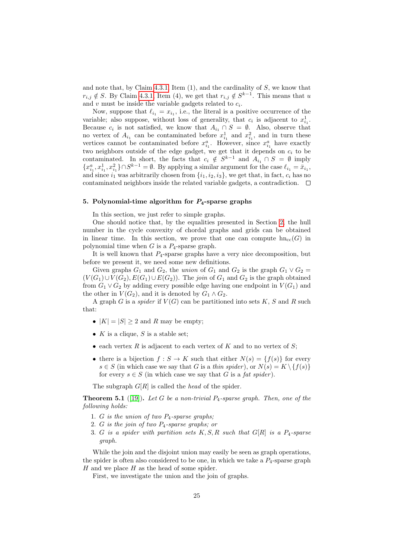and note that, by Claim [4.3.1,](#page-22-1) Item  $(1)$ , and the cardinality of  $S$ , we know that  $r_{i,j} \notin S$ . By Claim [4.3.1,](#page-22-1) Item (4), we get that  $r_{i,j} \notin S^{k-1}$ . This means that u and  $v$  must be inside the variable gadgets related to  $c_i$ .

Now, suppose that  $\ell_{i_1} = x_{i_1}$ , i.e., the literal is a positive occurrence of the variable; also suppose, without loss of generality, that  $c_i$  is adjacent to  $x_{i_1}^1$ . Because  $c_i$  is not satisfied, we know that  $A_{i_1} \cap S = \emptyset$ . Also, observe that no vertex of  $A_{i_1}$  can be contaminated before  $x_{i_1}^1$  and  $x_{i_1}^2$ , and in turn these vertices cannot be contaminated before  $x_{i_1}^a$ . However, since  $x_{i_1}^a$  have exactly two neighbors outside of the edge gadget, we get that it depends on  $c_i$  to be contaminated. In short, the facts that  $c_i \notin S^{k-1}$  and  $A_{i_1} \cap S = \emptyset$  imply  ${x_{i_1}^a, x_{i_1}^1, x_{i_1}^2} \cap S^{k-1} = \emptyset$ . By applying a similar argument for the case  $\ell_{i_1} = \bar{x}_{i_1}$ , and since  $i_1$  was arbitrarily chosen from  $\{i_1, i_2, i_3\}$ , we get that, in fact,  $c_i$  has no contaminated neighbors inside the related variable gadgets, a contradiction.  $\quad \Box$ 

### <span id="page-24-0"></span>5. Polynomial-time algorithm for  $P_4$ -sparse graphs

In this section, we just refer to simple graphs.

One should notice that, by the equalities presented in Section [2,](#page-9-0) the hull number in the cycle convexity of chordal graphs and grids can be obtained in linear time. In this section, we prove that one can compute  $h n_{cc}(G)$  in polynomial time when  $G$  is a  $P_4$ -sparse graph.

It is well known that  $P_4$ -sparse graphs have a very nice decomposition, but before we present it, we need some new definitions.

Given graphs  $G_1$  and  $G_2$ , the *union* of  $G_1$  and  $G_2$  is the graph  $G_1 \vee G_2$  =  $(V(G_1) \cup V(G_2), E(G_1) \cup E(G_2))$ . The join of  $G_1$  and  $G_2$  is the graph obtained from  $G_1 \vee G_2$  by adding every possible edge having one endpoint in  $V(G_1)$  and the other in  $V(G_2)$ , and it is denoted by  $G_1 \wedge G_2$ .

A graph G is a *spider* if  $V(G)$  can be partitioned into sets K, S and R such that:

- $|K| = |S| \geq 2$  and R may be empty;
- $K$  is a clique,  $S$  is a stable set;
- each vertex R is adjacent to each vertex of K and to no vertex of S;
- there is a bijection  $f : S \to K$  such that either  $N(s) = \{f(s)\}\$ for every  $s \in S$  (in which case we say that G is a thin spider), or  $N(s) = K \setminus \{f(s)\}\$ for every  $s \in S$  (in which case we say that G is a fat spider).

The subgraph  $G[R]$  is called the head of the spider.

<span id="page-24-1"></span>**Theorem 5.1** ([\[19\]](#page-27-12)). Let G be a non-trivial  $P_4$ -sparse graph. Then, one of the following holds:

- 1. G is the union of two  $P_4$ -sparse graphs;
- 2. G is the join of two  $P_4$ -sparse graphs; or
- 3. G is a spider with partition sets  $K, S, R$  such that  $G[R]$  is a  $P_4$ -sparse graph.

While the join and the disjoint union may easily be seen as graph operations, the spider is often also considered to be one, in which we take a  $P_4$ -sparse graph  $H$  and we place  $H$  as the head of some spider.

First, we investigate the union and the join of graphs.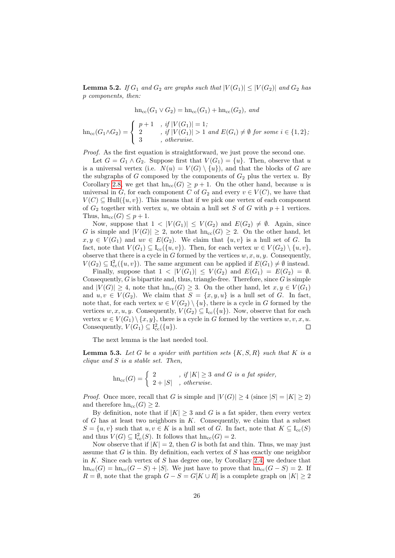<span id="page-25-0"></span>**Lemma 5.2.** If  $G_1$  and  $G_2$  are graphs such that  $|V(G_1)| \leq |V(G_2)|$  and  $G_2$  has p components, then:

 $\text{hn}_{\text{cc}}(G_1 \vee G_2) = \text{hn}_{\text{cc}}(G_1) + \text{hn}_{\text{cc}}(G_2)$ , and

$$
\operatorname{hn}_{\operatorname{cc}}(G_1 \wedge G_2) = \begin{cases} p+1, & if \ |V(G_1)| = 1; \\ 2, & if \ |V(G_1)| > 1 \ and \ E(G_i) \neq \emptyset \ \text{for some } i \in \{1,2\}; \\ 3, & otherwise. \end{cases}
$$

Proof. As the first equation is straightforward, we just prove the second one.

Let  $G = G_1 \wedge G_2$ . Suppose first that  $V(G_1) = \{u\}$ . Then, observe that u is a universal vertex (i.e.  $N(u) = V(G) \setminus \{u\}$ ), and that the blocks of G are the subgraphs of G composed by the components of  $G_2$  plus the vertex u. By Corollary [2.8,](#page-12-0) we get that  $hn_{cc}(G) \geq p+1$ . On the other hand, because u is universal in G, for each component C of  $G_2$  and every  $v \in V(C)$ , we have that  $V(C) \subseteq Hull({u, v})$ . This means that if we pick one vertex of each component of  $G_2$  together with vertex u, we obtain a hull set S of G with  $p + 1$  vertices. Thus,  $hn_{cc}(G) \leq p+1$ .

Now, suppose that  $1 < |V(G_1)| \leq V(G_2)$  and  $E(G_2) \neq \emptyset$ . Again, since G is simple and  $|V(G)| \geq 2$ , note that  $\text{hn}_{cc}(G) \geq 2$ . On the other hand, let  $x, y \in V(G_1)$  and  $uv \in E(G_2)$ . We claim that  $\{u, v\}$  is a hull set of G. In fact, note that  $V(G_1) \subseteq I_{cc}(\{u, v\})$ . Then, for each vertex  $w \in V(G_2) \setminus \{u, v\}$ , observe that there is a cycle in  $G$  formed by the vertices  $w, x, u, y$ . Consequently,  $V(G_2) \subseteq I_{cc}^2({u, v})$ . The same argument can be applied if  $E(G_1) \neq \emptyset$  instead.

Finally, suppose that  $1 < |V(G_1)| \leq V(G_2)$  and  $E(G_1) = E(G_2) = \emptyset$ . Consequently,  $G$  is bipartite and, thus, triangle-free. Therefore, since  $G$  is simple and  $|V(G)| \geq 4$ , note that  $\text{hn}_{cc}(G) \geq 3$ . On the other hand, let  $x, y \in V(G_1)$ and  $u, v \in V(G_2)$ . We claim that  $S = \{x, y, u\}$  is a hull set of G. In fact, note that, for each vertex  $w \in V(G_2) \setminus \{u\}$ , there is a cycle in G formed by the vertices  $w, x, u, y$ . Consequently,  $V(G_2) \subseteq I_{cc}(\{u\})$ . Now, observe that for each vertex  $w \in V(G_1) \setminus \{x, y\}$ , there is a cycle in G formed by the vertices  $w, v, x, u$ . Consequently,  $V(G_1) \subseteq I_{cc}^2({u}).$  $\Box$ 

The next lemma is the last needed tool.

<span id="page-25-1"></span>**Lemma 5.3.** Let G be a spider with partition sets  $\{K, S, R\}$  such that K is a clique and  $S$  is a stable set. Then,

$$
hn_{cc}(G) = \begin{cases} 2 & , if |K| \ge 3 \text{ and } G \text{ is a fat sphere,} \\ 2 + |S| & , otherwise. \end{cases}
$$

*Proof.* Once more, recall that G is simple and  $|V(G)| \geq 4$  (since  $|S| = |K| \geq 2$ ) and therefore  $hn_{cc}(G) \geq 2$ .

By definition, note that if  $|K| \geq 3$  and G is a fat spider, then every vertex of  $G$  has at least two neighbors in  $K$ . Consequently, we claim that a subset  $S = \{u, v\}$  such that  $u, v \in K$  is a hull set of G. In fact, note that  $K \subseteq I_{cc}(S)$ and thus  $V(G) \subseteq I_{cc}^2(S)$ . It follows that  $hn_{cc}(G) = 2$ .

Now observe that if  $|K| = 2$ , then G is both fat and thin. Thus, we may just assume that  $G$  is thin. By definition, each vertex of  $S$  has exactly one neighbor in  $K$ . Since each vertex of  $S$  has degree one, by Corollary [2.4,](#page-10-2) we deduce that  $h n_{cc}(G) = h n_{cc}(G - S) + |S|$ . We just have to prove that  $h n_{cc}(G - S) = 2$ . If  $R = \emptyset$ , note that the graph  $G - S = G[K \cup R]$  is a complete graph on  $|K| \geq 2$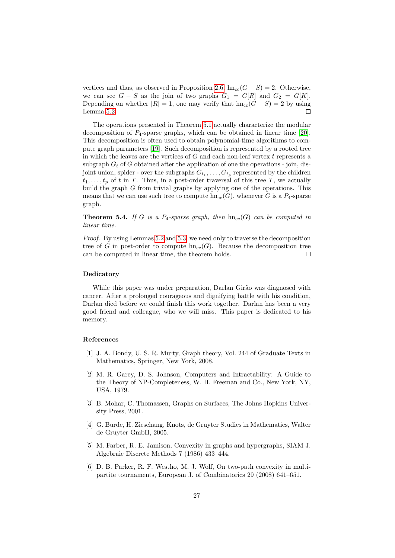vertices and thus, as observed in Proposition [2.6,](#page-11-1)  $h n_{\text{cc}}(G - S) = 2$ . Otherwise, we can see  $G - S$  as the join of two graphs  $G_1 = G[R]$  and  $G_2 = G[K]$ . Depending on whether  $|R| = 1$ , one may verify that  $hn_{cc}(G - S) = 2$  by using Lemma [5.2.](#page-25-0)  $\Box$ 

The operations presented in Theorem [5.1](#page-24-1) actually characterize the modular decomposition of  $P_4$ -sparse graphs, which can be obtained in linear time [\[20\]](#page-27-13). This decomposition is often used to obtain polynomial-time algorithms to compute graph parameters [\[19\]](#page-27-12). Such decomposition is represented by a rooted tree in which the leaves are the vertices of  $G$  and each non-leaf vertex  $t$  represents a subgraph  $G_t$  of G obtained after the application of one the operations - join, disjoint union, spider - over the subgraphs  $G_{t_1}, \ldots, G_{t_p}$  represented by the children  $t_1, \ldots, t_p$  of t in T. Thus, in a post-order traversal of this tree T, we actually build the graph G from trivial graphs by applying one of the operations. This means that we can use such tree to compute  $\text{hn}_{cc}(G)$ , whenever G is a  $P_4$ -sparse graph.

**Theorem 5.4.** If G is a P<sub>4</sub>-sparse graph, then  $h n_{cc}(G)$  can be computed in linear time.

Proof. By using Lemmas [5.2](#page-25-0) and [5.3,](#page-25-1) we need only to traverse the decomposition tree of G in post-order to compute  $\text{hn}_{cc}(G)$ . Because the decomposition tree can be computed in linear time, the theorem holds.  $\Box$ 

### Dedicatory

While this paper was under preparation, Darlan Girão was diagnosed with cancer. After a prolonged courageous and dignifying battle with his condition, Darlan died before we could finish this work together. Darlan has been a very good friend and colleague, who we will miss. This paper is dedicated to his memory.

### References

- <span id="page-26-0"></span>[1] J. A. Bondy, U. S. R. Murty, Graph theory, Vol. 244 of Graduate Texts in Mathematics, Springer, New York, 2008.
- <span id="page-26-1"></span>[2] M. R. Garey, D. S. Johnson, Computers and Intractability: A Guide to the Theory of NP-Completeness, W. H. Freeman and Co., New York, NY, USA, 1979.
- <span id="page-26-2"></span>[3] B. Mohar, C. Thomassen, Graphs on Surfaces, The Johns Hopkins University Press, 2001.
- <span id="page-26-3"></span>[4] G. Burde, H. Zieschang, Knots, de Gruyter Studies in Mathematics, Walter de Gruyter GmbH, 2005.
- <span id="page-26-4"></span>[5] M. Farber, R. E. Jamison, Convexity in graphs and hypergraphs, SIAM J. Algebraic Discrete Methods 7 (1986) 433–444.
- <span id="page-26-5"></span>[6] D. B. Parker, R. F. Westho, M. J. Wolf, On two-path convexity in multipartite tournaments, European J. of Combinatorics 29 (2008) 641–651.